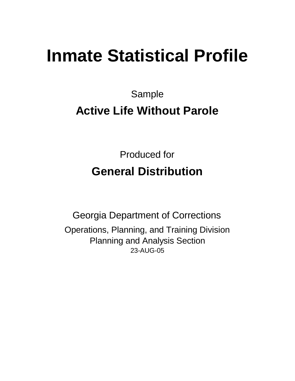# **Inmate Statistical Profile**

Sample

# **Active Life Without Parole**

Produced for **General Distribution**

23-AUG-05 Georgia Department of Corrections Operations, Planning, and Training Division Planning and Analysis Section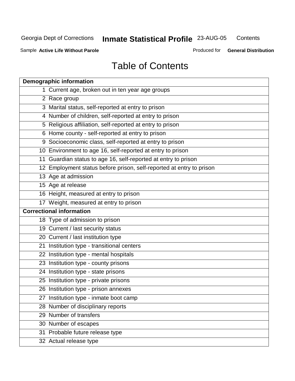**Contents** 

Sample **Active Life Without Parole**

Produced for **General Distribution**

### Table of Contents

|   | <b>Demographic information</b>                                       |
|---|----------------------------------------------------------------------|
| 1 | Current age, broken out in ten year age groups                       |
|   | 2 Race group                                                         |
|   | 3 Marital status, self-reported at entry to prison                   |
|   | 4 Number of children, self-reported at entry to prison               |
|   | 5 Religious affiliation, self-reported at entry to prison            |
|   | 6 Home county - self-reported at entry to prison                     |
|   | 9 Socioeconomic class, self-reported at entry to prison              |
|   | 10 Environment to age 16, self-reported at entry to prison           |
|   | 11 Guardian status to age 16, self-reported at entry to prison       |
|   | 12 Employment status before prison, self-reported at entry to prison |
|   | 13 Age at admission                                                  |
|   | 15 Age at release                                                    |
|   | 16 Height, measured at entry to prison                               |
|   | 17 Weight, measured at entry to prison                               |
|   | <b>Correctional information</b>                                      |
|   | 18 Type of admission to prison                                       |
|   | 19 Current / last security status                                    |
|   | 20 Current / last institution type                                   |
|   | 21 Institution type - transitional centers                           |
|   | 22 Institution type - mental hospitals                               |
|   | 23 Institution type - county prisons                                 |
|   | 24 Institution type - state prisons                                  |
|   | 25 Institution type - private prisons                                |
|   | 26 Institution type - prison annexes                                 |
|   | 27 Institution type - inmate boot camp                               |
|   | 28 Number of disciplinary reports                                    |
|   | 29 Number of transfers                                               |
|   | 30 Number of escapes                                                 |
|   | 31 Probable future release type                                      |
|   | 32 Actual release type                                               |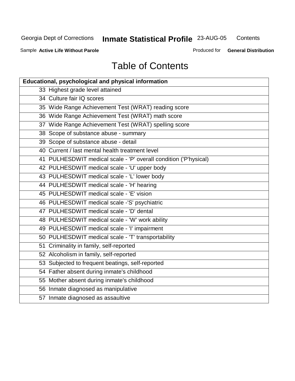**Contents** 

Sample **Active Life Without Parole**

Produced for **General Distribution**

## Table of Contents

| Educational, psychological and physical information              |
|------------------------------------------------------------------|
| 33 Highest grade level attained                                  |
| 34 Culture fair IQ scores                                        |
| 35 Wide Range Achievement Test (WRAT) reading score              |
| 36 Wide Range Achievement Test (WRAT) math score                 |
| 37 Wide Range Achievement Test (WRAT) spelling score             |
| 38 Scope of substance abuse - summary                            |
| 39 Scope of substance abuse - detail                             |
| 40 Current / last mental health treatment level                  |
| 41 PULHESDWIT medical scale - 'P' overall condition ('P'hysical) |
| 42 PULHESDWIT medical scale - 'U' upper body                     |
| 43 PULHESDWIT medical scale - 'L' lower body                     |
| 44 PULHESDWIT medical scale - 'H' hearing                        |
| 45 PULHESDWIT medical scale - 'E' vision                         |
| 46 PULHESDWIT medical scale -'S' psychiatric                     |
| 47 PULHESDWIT medical scale - 'D' dental                         |
| 48 PULHESDWIT medical scale - 'W' work ability                   |
| 49 PULHESDWIT medical scale - 'I' impairment                     |
| 50 PULHESDWIT medical scale - 'T' transportability               |
| 51 Criminality in family, self-reported                          |
| 52 Alcoholism in family, self-reported                           |
| 53 Subjected to frequent beatings, self-reported                 |
| 54 Father absent during inmate's childhood                       |
| 55 Mother absent during inmate's childhood                       |
| 56 Inmate diagnosed as manipulative                              |
| 57 Inmate diagnosed as assaultive                                |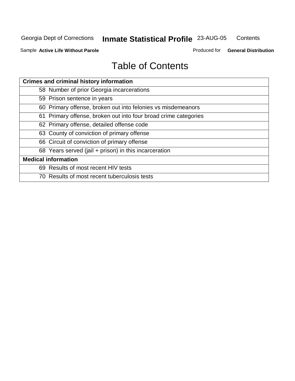**Contents** 

Sample **Active Life Without Parole**

Produced for **General Distribution**

### Table of Contents

| <b>Crimes and criminal history information</b>                  |
|-----------------------------------------------------------------|
| 58 Number of prior Georgia incarcerations                       |
| 59 Prison sentence in years                                     |
| 60 Primary offense, broken out into felonies vs misdemeanors    |
| 61 Primary offense, broken out into four broad crime categories |
| 62 Primary offense, detailed offense code                       |
| 63 County of conviction of primary offense                      |
| 66 Circuit of conviction of primary offense                     |
| 68 Years served (jail + prison) in this incarceration           |
| <b>Medical information</b>                                      |
| 69 Results of most recent HIV tests                             |
| 70 Results of most recent tuberculosis tests                    |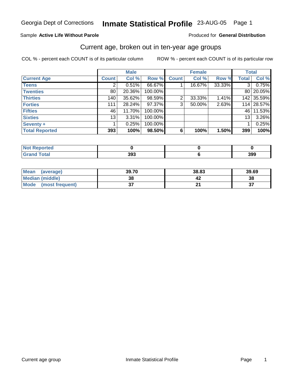#### Sample **Active Life Without Parole**

#### Produced for **General Distribution**

### Current age, broken out in ten-year age groups

|                       |              | <b>Male</b> |         |              | <b>Female</b> |        | <b>Total</b>   |            |
|-----------------------|--------------|-------------|---------|--------------|---------------|--------|----------------|------------|
| <b>Current Age</b>    | <b>Count</b> | Col %       | Row %   | <b>Count</b> | Col %         | Row %  | <b>Total</b>   | Col %      |
| <b>Teens</b>          |              | $0.51\%$    | 66.67%  |              | 16.67%        | 33.33% | 3 <sup>1</sup> | 0.75%      |
| <b>Twenties</b>       | 80           | 20.36%      | 100.00% |              |               |        | 80 l           | 20.05%     |
| <b>Thirties</b>       | 140          | $35.62\%$   | 98.59%  | 2            | 33.33%        | 1.41%  |                | 142 35.59% |
| <b>Forties</b>        | 111          | 28.24%      | 97.37%  | 3            | 50.00%        | 2.63%  | 114            | 28.57%     |
| <b>Fifties</b>        | 46           | 11.70%      | 100.00% |              |               |        | 46 l           | 11.53%     |
| <b>Sixties</b>        | 13           | 3.31%       | 100.00% |              |               |        | 13             | 3.26%      |
| Seventy +             |              | 0.25%       | 100.00% |              |               |        |                | 0.25%      |
| <b>Total Reported</b> | 393          | 100%        | 98.50%  | 6            | 100%          | 1.50%  | 399            | 100%       |

| <b>State Administration</b><br>тео |           |     |
|------------------------------------|-----------|-----|
|                                    | 20<br>393 | 399 |

| <b>Mean</b><br>(average) | 39.70    | 38.83  | 39.69     |
|--------------------------|----------|--------|-----------|
| <b>Median (middle)</b>   | 38       |        | 38        |
| Mode<br>(most frequent)  | ^<br>ا پ | $\sim$ | ^7<br>ູບເ |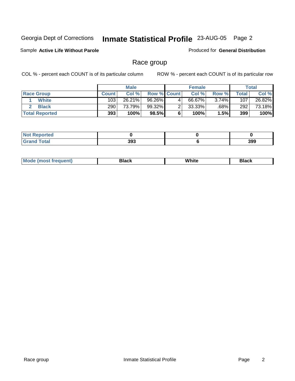Sample **Active Life Without Parole**

Produced for **General Distribution**

### Race group

|                       |              | <b>Male</b> |                    |   | <b>Female</b> |         |       | <b>Total</b> |
|-----------------------|--------------|-------------|--------------------|---|---------------|---------|-------|--------------|
| <b>Race Group</b>     | <b>Count</b> | Col %       | <b>Row % Count</b> |   | Col %         | Row %   | Total | Col %        |
| <b>White</b>          | 103          | 26.21%      | 96.26%             | 4 | 66.67%        | 3.74%   | 107   | 26.82%       |
| <b>Black</b>          | 290          | 73.79%      | 99.32%             |   | $33.33\%$     | $.68\%$ | 292   | 73.18%       |
| <b>Total Reported</b> | 393          | 100%        | 98.5%              |   | 100%          | 1.5%    | 399   | 100%         |

| <b>Not Reported</b> |     |     |
|---------------------|-----|-----|
| $T = 4 - 1$         | 393 | 399 |

| $M_{\odot}$ | nale.<br>зіаск | White | 3lack |
|-------------|----------------|-------|-------|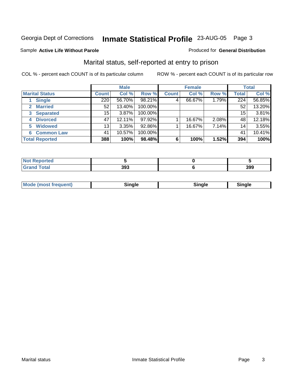#### Sample **Active Life Without Parole**

#### Produced for **General Distribution**

### Marital status, self-reported at entry to prison

|                        |              | <b>Male</b> |         |              | <b>Female</b> |       |              | <b>Total</b> |
|------------------------|--------------|-------------|---------|--------------|---------------|-------|--------------|--------------|
| <b>Marital Status</b>  | <b>Count</b> | Col %       | Row %   | <b>Count</b> | Col %         | Row % | <b>Total</b> | Col %        |
| <b>Single</b>          | 220          | 56.70%      | 98.21%  | 4            | 66.67%        | 1.79% | 224          | 56.85%       |
| <b>Married</b>         | 52           | 13.40%      | 100.00% |              |               |       | 52           | 13.20%       |
| <b>Separated</b><br>3  | 15           | 3.87%       | 100.00% |              |               |       | 15           | 3.81%        |
| <b>Divorced</b><br>4   | 47           | 12.11%      | 97.92%  |              | 16.67%        | 2.08% | 48           | 12.18%       |
| <b>Widowed</b><br>5    | 13           | 3.35%       | 92.86%  |              | 16.67%        | 7.14% | 14           | 3.55%        |
| <b>Common Law</b><br>6 | 41           | 10.57%      | 100.00% |              |               |       | 41           | 10.41%       |
| <b>Total Reported</b>  | 388          | 100%        | 98.48%  | 6            | 100%          | 1.52% | 394          | 100%         |

| тес |     |     |
|-----|-----|-----|
|     | 393 | 399 |

| <b>Mode (most frequent)</b><br>`'nale<br>Sinale<br>single |
|-----------------------------------------------------------|
|-----------------------------------------------------------|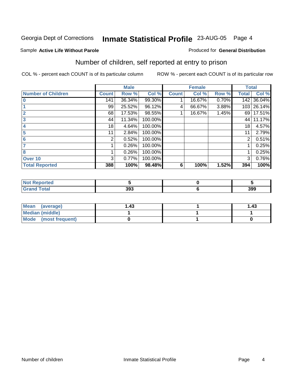#### Sample **Active Life Without Parole**

#### Produced for **General Distribution**

### Number of children, self reported at entry to prison

|                           |              | <b>Male</b> |         |              | <b>Female</b> |       | <b>Total</b> |        |
|---------------------------|--------------|-------------|---------|--------------|---------------|-------|--------------|--------|
| <b>Number of Children</b> | <b>Count</b> | Row %       | Col %   | <b>Count</b> | Col %         | Row % | <b>Total</b> | Col %  |
| $\overline{0}$            | 141          | 36.34%      | 99.30%  |              | 16.67%        | 0.70% | 142          | 36.04% |
|                           | 99           | 25.52%      | 96.12%  | 4            | 66.67%        | 3.88% | 103          | 26.14% |
| $\overline{2}$            | 68           | 17.53%      | 98.55%  |              | 16.67%        | 1.45% | 69           | 17.51% |
| 3                         | 44           | 11.34%      | 100.00% |              |               |       | 44           | 11.17% |
| 4                         | 18           | 4.64%       | 100.00% |              |               |       | 18           | 4.57%  |
| 5                         | 11           | 2.84%       | 100.00% |              |               |       | 11           | 2.79%  |
| 6                         | 2            | 0.52%       | 100.00% |              |               |       | 2            | 0.51%  |
|                           |              | 0.26%       | 100.00% |              |               |       |              | 0.25%  |
| 8                         |              | 0.26%       | 100.00% |              |               |       |              | 0.25%  |
| Over 10                   | 3            | 0.77%       | 100.00% |              |               |       | 3            | 0.76%  |
| <b>Total Reported</b>     | 388          | 100%        | 98.48%  | 6            | 100%          | 1.52% | 394          | 100%   |

| <b>Reported</b><br>NOT |     |     |
|------------------------|-----|-----|
|                        | 393 | 399 |

| Mean<br>(average)      | .43 | 1.43 |
|------------------------|-----|------|
| <b>Median (middle)</b> |     |      |
| Mode (most frequent)   |     |      |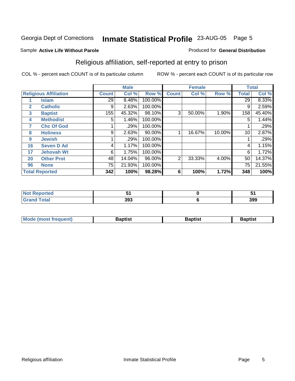#### Sample **Active Life Without Parole**

### Religious affiliation, self-reported at entry to prison

COL % - percent each COUNT is of its particular column ROW % - percent each COUNT is of its particular row

Produced for **General Distribution**

|              |                              |              | <b>Male</b> |         |              | <b>Female</b> |        |              | <b>Total</b> |
|--------------|------------------------------|--------------|-------------|---------|--------------|---------------|--------|--------------|--------------|
|              | <b>Religious Affiliation</b> | <b>Count</b> | Col %       | Row %   | <b>Count</b> | Col %         | Row %  | <b>Total</b> | Col %        |
|              | <b>Islam</b>                 | 29           | 8.48%       | 100.00% |              |               |        | 29           | $8.33\%$     |
| $\mathbf{2}$ | <b>Catholic</b>              | 9            | 2.63%       | 100.00% |              |               |        | 9            | 2.59%        |
| 3            | <b>Baptist</b>               | 155          | 45.32%      | 98.10%  | 3            | 50.00%        | 1.90%  | 158          | 45.40%       |
| 4            | <b>Methodist</b>             | 5            | 1.46%       | 100.00% |              |               |        | 5            | 1.44%        |
| 7            | <b>Chc Of God</b>            |              | .29%        | 100.00% |              |               |        |              | .29%         |
| 8            | <b>Holiness</b>              | 9            | 2.63%       | 90.00%  |              | 16.67%        | 10.00% | 10           | 2.87%        |
| 9            | <b>Jewish</b>                |              | .29%        | 100.00% |              |               |        |              | .29%         |
| 16           | <b>Seven D Ad</b>            | 4            | 1.17%       | 100.00% |              |               |        | 4            | 1.15%        |
| 17           | <b>Jehovah Wt</b>            | 6            | 1.75%       | 100.00% |              |               |        | 6            | 1.72%        |
| 20           | <b>Other Prot</b>            | 48           | 14.04%      | 96.00%  | 2            | 33.33%        | 4.00%  | 50           | 14.37%       |
| 96           | <b>None</b>                  | 75           | 21.93%      | 100.00% |              |               |        | 75           | 21.55%       |
|              | <b>Total Reported</b>        | 342          | 100%        | 98.28%  | 6            | 100%          | 1.72%  | 348          | 100%         |

| : Reported<br><b>NOT</b> |     | . . |
|--------------------------|-----|-----|
| <b>Grand Total</b>       | 393 | 399 |

| <b>Mode (most frequent)</b> | Baptist | 3aptist | 3aptıst |
|-----------------------------|---------|---------|---------|
|                             |         |         |         |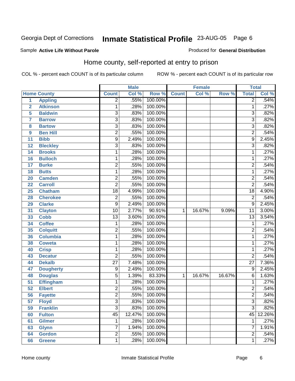#### Sample **Active Life Without Parole**

#### Produced for **General Distribution**

### Home county, self-reported at entry to prison

|                 |                    | <b>Male</b>     |        | <b>Female</b> |              |        | <b>Total</b> |                 |        |
|-----------------|--------------------|-----------------|--------|---------------|--------------|--------|--------------|-----------------|--------|
|                 | <b>Home County</b> | <b>Count</b>    | Col %  | Row %         | <b>Count</b> | Col %  | Row %        | <b>Total</b>    | Col %  |
| $\overline{1}$  | <b>Appling</b>     | $\overline{2}$  | .55%   | 100.00%       |              |        |              | $\overline{2}$  | .54%   |
| $\overline{2}$  | <b>Atkinson</b>    | 1               | .28%   | 100.00%       |              |        |              | 1               | .27%   |
| 5               | <b>Baldwin</b>     | $\overline{3}$  | .83%   | 100.00%       |              |        |              | 3               | .82%   |
| $\overline{7}$  | <b>Barrow</b>      | $\overline{3}$  | .83%   | 100.00%       |              |        |              | $\overline{3}$  | .82%   |
| 8               | <b>Bartow</b>      | $\overline{3}$  | .83%   | 100.00%       |              |        |              | $\overline{3}$  | .82%   |
| 9               | <b>Ben Hill</b>    | $\overline{2}$  | .55%   | 100.00%       |              |        |              | $\overline{2}$  | .54%   |
| 11              | <b>Bibb</b>        | $\overline{9}$  | 2.49%  | 100.00%       |              |        |              | $\overline{9}$  | 2.45%  |
| 12              | <b>Bleckley</b>    | $\overline{3}$  | .83%   | 100.00%       |              |        |              | $\overline{3}$  | .82%   |
| 14              | <b>Brooks</b>      | 1               | .28%   | 100.00%       |              |        |              | 1               | .27%   |
| 16              | <b>Bulloch</b>     | 1               | .28%   | 100.00%       |              |        |              | 1               | .27%   |
| 17              | <b>Burke</b>       | $\overline{2}$  | .55%   | 100.00%       |              |        |              | $\overline{2}$  | .54%   |
| 18              | <b>Butts</b>       | $\mathbf{1}$    | .28%   | 100.00%       |              |        |              | 1               | .27%   |
| 20              | <b>Camden</b>      | $\overline{2}$  | .55%   | 100.00%       |              |        |              | $\overline{2}$  | .54%   |
| 22              | <b>Carroll</b>     | $\overline{2}$  | .55%   | 100.00%       |              |        |              | $\overline{2}$  | .54%   |
| 25              | <b>Chatham</b>     | $\overline{18}$ | 4.99%  | 100.00%       |              |        |              | $\overline{18}$ | 4.90%  |
| 28              | <b>Cherokee</b>    | $\overline{2}$  | .55%   | 100.00%       |              |        |              | $\overline{2}$  | .54%   |
| 29              | <b>Clarke</b>      | 9               | 2.49%  | 100.00%       |              |        |              | $\overline{9}$  | 2.45%  |
| 31              | <b>Clayton</b>     | $\overline{10}$ | 2.77%  | 90.91%        | $\mathbf{1}$ | 16.67% | 9.09%        | $\overline{11}$ | 3.00%  |
| 33              | <b>Cobb</b>        | $\overline{13}$ | 3.60%  | 100.00%       |              |        |              | $\overline{13}$ | 3.54%  |
| 34              | <b>Coffee</b>      | 1               | .28%   | 100.00%       |              |        |              | $\mathbf{1}$    | .27%   |
| 35              | <b>Colquitt</b>    | $\overline{2}$  | .55%   | 100.00%       |              |        |              | $\overline{2}$  | .54%   |
| 36              | <b>Columbia</b>    | $\mathbf{1}$    | .28%   | 100.00%       |              |        |              | $\overline{1}$  | .27%   |
| 38              | <b>Coweta</b>      | 1               | .28%   | 100.00%       |              |        |              | 1               | .27%   |
| 40              | <b>Crisp</b>       | 1               | .28%   | 100.00%       |              |        |              | 1               | .27%   |
| 43              | <b>Decatur</b>     | $\overline{2}$  | .55%   | 100.00%       |              |        |              | $\overline{2}$  | .54%   |
| 44              | <b>Dekalb</b>      | $\overline{27}$ | 7.48%  | 100.00%       |              |        |              | $\overline{27}$ | 7.36%  |
| 47              | <b>Dougherty</b>   | 9               | 2.49%  | 100.00%       |              |        |              | $\overline{9}$  | 2.45%  |
| 48              | <b>Douglas</b>     | $\overline{5}$  | 1.39%  | 83.33%        | $\mathbf{1}$ | 16.67% | 16.67%       | $\overline{6}$  | 1.63%  |
| $\overline{51}$ | <b>Effingham</b>   | $\mathbf{1}$    | .28%   | 100.00%       |              |        |              | $\overline{1}$  | .27%   |
| $\overline{52}$ | <b>Elbert</b>      | $\overline{2}$  | .55%   | 100.00%       |              |        |              | $\overline{2}$  | .54%   |
| $\overline{56}$ | <b>Fayette</b>     | $\overline{2}$  | .55%   | 100.00%       |              |        |              | $\overline{2}$  | .54%   |
| 57              | <b>Floyd</b>       | 3               | .83%   | 100.00%       |              |        |              | 3 <sup>1</sup>  | .82%   |
| 59              | <b>Franklin</b>    | $\overline{3}$  | .83%   | 100.00%       |              |        |              | $\overline{3}$  | .82%   |
| 60              | <b>Fulton</b>      | $\overline{45}$ | 12.47% | 100.00%       |              |        |              | 45              | 12.26% |
| 61              | <b>Gilmer</b>      | 1               | .28%   | 100.00%       |              |        |              | $\mathbf{1}$    | .27%   |
| 63              | <b>Glynn</b>       | 7               | 1.94%  | 100.00%       |              |        |              | $\overline{7}$  | 1.91%  |
| 64              | <b>Gordon</b>      | $\overline{2}$  | .55%   | 100.00%       |              |        |              | $\overline{2}$  | .54%   |
| 66              | <b>Greene</b>      | $\mathbf 1$     | .28%   | 100.00%       |              |        |              | $\overline{1}$  | .27%   |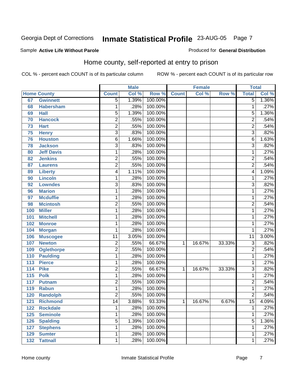#### Sample **Active Life Without Parole**

Produced for **General Distribution**

### Home county, self-reported at entry to prison

|                  |                    |                 | <b>Male</b> |         |              | <b>Female</b> |        | <b>Total</b>    |       |
|------------------|--------------------|-----------------|-------------|---------|--------------|---------------|--------|-----------------|-------|
|                  | <b>Home County</b> | <b>Count</b>    | Col %       | Row %   | <b>Count</b> | Col %         | Row %  | <b>Total</b>    | Col % |
| 67               | <b>Gwinnett</b>    | $\overline{5}$  | 1.39%       | 100.00% |              |               |        | $\overline{5}$  | 1.36% |
| 68               | <b>Habersham</b>   | 1               | .28%        | 100.00% |              |               |        | 1               | .27%  |
| 69               | <b>Hall</b>        | $\overline{5}$  | 1.39%       | 100.00% |              |               |        | 5               | 1.36% |
| 70               | <b>Hancock</b>     | $\overline{2}$  | .55%        | 100.00% |              |               |        | $\overline{2}$  | .54%  |
| 73               | <b>Hart</b>        | $\overline{2}$  | .55%        | 100.00% |              |               |        | $\overline{2}$  | .54%  |
| 75               | <b>Henry</b>       | $\overline{3}$  | .83%        | 100.00% |              |               |        | $\overline{3}$  | .82%  |
| 76               | <b>Houston</b>     | $\overline{6}$  | 1.66%       | 100.00% |              |               |        | 6               | 1.63% |
| 78               | <b>Jackson</b>     | $\overline{3}$  | .83%        | 100.00% |              |               |        | $\overline{3}$  | .82%  |
| 80               | <b>Jeff Davis</b>  | 1               | .28%        | 100.00% |              |               |        | 1               | .27%  |
| 82               | <b>Jenkins</b>     | 2               | .55%        | 100.00% |              |               |        | $\overline{2}$  | .54%  |
| 87               | <b>Laurens</b>     | $\overline{2}$  | .55%        | 100.00% |              |               |        | $\overline{2}$  | .54%  |
| 89               | <b>Liberty</b>     | $\overline{4}$  | 1.11%       | 100.00% |              |               |        | $\overline{4}$  | 1.09% |
| 90               | <b>Lincoln</b>     | 1               | .28%        | 100.00% |              |               |        | 1               | .27%  |
| 92               | <b>Lowndes</b>     | $\overline{3}$  | .83%        | 100.00% |              |               |        | $\overline{3}$  | .82%  |
| 96               | <b>Marion</b>      | 1               | .28%        | 100.00% |              |               |        | 1               | .27%  |
| 97               | <b>Mcduffie</b>    | 1               | .28%        | 100.00% |              |               |        | 1               | .27%  |
| 98               | <b>Mcintosh</b>    | $\overline{2}$  | .55%        | 100.00% |              |               |        | $\overline{2}$  | .54%  |
| 100              | <b>Miller</b>      | 1               | .28%        | 100.00% |              |               |        | 1               | .27%  |
| 101              | <b>Mitchell</b>    | 1               | .28%        | 100.00% |              |               |        | 1               | .27%  |
| 102              | <b>Monroe</b>      | 1               | .28%        | 100.00% |              |               |        | $\mathbf{1}$    | .27%  |
| 104              | <b>Morgan</b>      | 1               | .28%        | 100.00% |              |               |        | 1               | .27%  |
| 106              | <b>Muscogee</b>    | $\overline{11}$ | 3.05%       | 100.00% |              |               |        | $\overline{11}$ | 3.00% |
| 107              | <b>Newton</b>      | $\overline{c}$  | .55%        | 66.67%  | 1.           | 16.67%        | 33.33% | 3               | .82%  |
| 109              | <b>Oglethorpe</b>  | $\overline{2}$  | .55%        | 100.00% |              |               |        | $\overline{2}$  | .54%  |
| 110              | <b>Paulding</b>    | 1               | .28%        | 100.00% |              |               |        | 1               | .27%  |
| 113              | <b>Pierce</b>      | 1               | .28%        | 100.00% |              |               |        | $\mathbf{1}$    | .27%  |
| 114              | <b>Pike</b>        | 2               | .55%        | 66.67%  | 1            | 16.67%        | 33.33% | $\overline{3}$  | .82%  |
| $\overline{115}$ | <b>Polk</b>        | 1               | .28%        | 100.00% |              |               |        | $\overline{1}$  | .27%  |
| 117              | <b>Putnam</b>      | $\overline{2}$  | .55%        | 100.00% |              |               |        | $\overline{2}$  | .54%  |
| 119              | <b>Rabun</b>       | 1               | .28%        | 100.00% |              |               |        | $\mathbf{1}$    | .27%  |
| 120              | <b>Randolph</b>    | $\overline{2}$  | .55%        | 100.00% |              |               |        | $\overline{2}$  | .54%  |
| 121              | <b>Richmond</b>    | 14              | 3.88%       | 93.33%  | $\mathbf 1$  | 16.67%        | 6.67%  | $\overline{15}$ | 4.09% |
| 122              | <b>Rockdale</b>    | 1               | .28%        | 100.00% |              |               |        | 1               | .27%  |
| 125              | <b>Seminole</b>    | 1               | .28%        | 100.00% |              |               |        | $\mathbf 1$     | .27%  |
| 126              | <b>Spalding</b>    | 5               | 1.39%       | 100.00% |              |               |        | 5               | 1.36% |
| 127              | <b>Stephens</b>    | 1               | .28%        | 100.00% |              |               |        | $\mathbf{1}$    | .27%  |
| 129              | <b>Sumter</b>      | 1               | .28%        | 100.00% |              |               |        | 1               | .27%  |
| 132              | <b>Tattnall</b>    | 1               | .28%        | 100.00% |              |               |        | $\mathbf{1}$    | .27%  |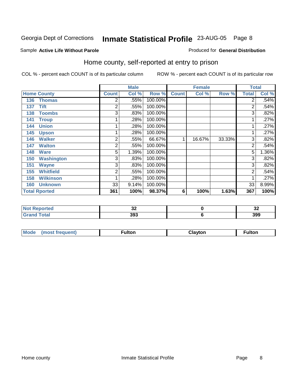#### Sample **Active Life Without Parole**

#### Produced for **General Distribution**

### Home county, self-reported at entry to prison

|     |                      |                | <b>Male</b> |         |              | <b>Female</b> |        |                | <b>Total</b> |  |
|-----|----------------------|----------------|-------------|---------|--------------|---------------|--------|----------------|--------------|--|
|     | <b>Home County</b>   | <b>Count</b>   | Col %       | Row %   | <b>Count</b> | Col %         | Row %  | <b>Total</b>   | Col %        |  |
| 136 | <b>Thomas</b>        | $\overline{2}$ | .55%        | 100.00% |              |               |        | $\overline{2}$ | .54%         |  |
| 137 | <b>Tift</b>          | 2              | .55%        | 100.00% |              |               |        | $\overline{2}$ | .54%         |  |
| 138 | <b>Toombs</b>        | 3              | .83%        | 100.00% |              |               |        | 3              | .82%         |  |
| 141 | <b>Troup</b>         |                | .28%        | 100.00% |              |               |        | $\mathbf 1$    | .27%         |  |
| 144 | <b>Union</b>         |                | .28%        | 100.00% |              |               |        | 1              | .27%         |  |
| 145 | <b>Upson</b>         |                | .28%        | 100.00% |              |               |        | 1              | .27%         |  |
| 146 | <b>Walker</b>        | $\overline{2}$ | .55%        | 66.67%  | 1            | 16.67%        | 33.33% | $\overline{3}$ | .82%         |  |
| 147 | <b>Walton</b>        | 2              | .55%        | 100.00% |              |               |        | $\overline{2}$ | .54%         |  |
| 148 | <b>Ware</b>          | 5              | 1.39%       | 100.00% |              |               |        | 5              | 1.36%        |  |
| 150 | <b>Washington</b>    | 3              | .83%        | 100.00% |              |               |        | 3 <sub>l</sub> | .82%         |  |
| 151 | <b>Wayne</b>         | 3              | .83%        | 100.00% |              |               |        | $\overline{3}$ | .82%         |  |
| 155 | <b>Whitfield</b>     | 2              | .55%        | 100.00% |              |               |        | 2              | .54%         |  |
| 158 | <b>Wilkinson</b>     |                | .28%        | 100.00% |              |               |        |                | .27%         |  |
| 160 | <b>Unknown</b>       | 33             | 9.14%       | 100.00% |              |               |        | 33             | 8.99%        |  |
|     | <b>Total Rported</b> | 361            | 100%        | 98.37%  | 6            | 100%          | 1.63%  | 367            | 100%         |  |

| τec     | n r<br>◡▵ | $\ddot{\phantom{0}}$<br>◡▴ |
|---------|-----------|----------------------------|
| _______ | 393       | 399                        |

| <b>Mode</b><br>(most frequent) | <b>ultor</b> | <b>Clavton</b> | ulton |
|--------------------------------|--------------|----------------|-------|
|--------------------------------|--------------|----------------|-------|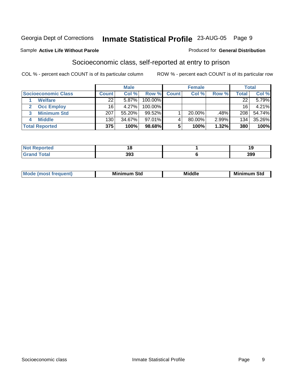#### Sample **Active Life Without Parole**

### Socioeconomic class, self-reported at entry to prison

COL % - percent each COUNT is of its particular column ROW % - percent each COUNT is of its particular row

Produced for **General Distribution**

|                                   | <b>Male</b><br><b>Female</b> |        |            |              | <b>Total</b> |        |       |        |
|-----------------------------------|------------------------------|--------|------------|--------------|--------------|--------|-------|--------|
| Socioeconomic Class               | <b>Count</b>                 | Col %  | Row %      | <b>Count</b> | Col %        | Row %  | Total | Col %  |
| <b>Welfare</b>                    | 22 <sub>1</sub>              | 5.87%  | 100.00%    |              |              |        | 22    | 5.79%  |
| <b>Occ Employ</b><br>$\mathbf{2}$ | 16                           | 4.27%  | $100.00\%$ |              |              |        | 16    | 4.21%  |
| <b>Minimum Std</b>                | 207                          | 55.20% | $99.52\%$  |              | 20.00%       | .48% l | 208   | 54.74% |
| <b>Middle</b>                     | 130                          | 34.67% | 97.01%     |              | 80.00%       | 2.99%  | 134   | 35.26% |
| <b>Total Reported</b>             | 375                          | 100%   | 98.68%     |              | 100%         | 1.32%  | 380   | 100%   |

| <b>Reported</b>      |     |     |
|----------------------|-----|-----|
| <b>Total</b><br>Grar | 393 | 399 |

| ___ |  | M.<br>. | Min<br>Std<br>. | Middle | Min<br>Std |
|-----|--|---------|-----------------|--------|------------|
|-----|--|---------|-----------------|--------|------------|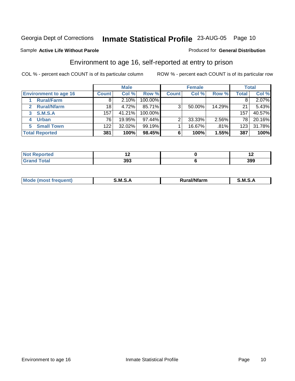#### Sample **Active Life Without Parole**

### Produced for **General Distribution**

### Environment to age 16, self-reported at entry to prison

|                              |                  | <b>Male</b> |         |              | <b>Female</b> |        |       | <b>Total</b> |
|------------------------------|------------------|-------------|---------|--------------|---------------|--------|-------|--------------|
| <b>Environment to age 16</b> | <b>Count</b>     | Col %       | Row %   | <b>Count</b> | Col %         | Row %  | Total | Col %        |
| <b>Rural/Farm</b>            | 8                | 2.10%       | 100.00% |              |               |        |       | 2.07%        |
| <b>Rural/Nfarm</b>           | 18               | 4.72%       | 85.71%  | 3            | 50.00%        | 14.29% | 21    | 5.43%        |
| <b>S.M.S.A</b><br>3          | 157 <sub>1</sub> | 41.21%      | 100.00% |              |               |        | 157   | 40.57%       |
| <b>Urban</b>                 | 76               | 19.95%      | 97.44%  | っ            | 33.33%        | 2.56%  | 78    | 20.16%       |
| <b>Small Town</b><br>5.      | 122 <sub>1</sub> | 32.02%      | 99.19%  |              | 16.67%        | .81%   | 123   | 31.78%       |
| <b>Total Reported</b>        | 381              | 100%        | 98.45%  |              | 100%          | 1.55%  | 387   | 100%         |

| <b>Not Reported</b> |     | . . |
|---------------------|-----|-----|
| <b>Total</b>        | 393 | 399 |

| M<br>.<br>---<br>s an A<br>.<br>M<br>M<br>-- |  |  |
|----------------------------------------------|--|--|
|                                              |  |  |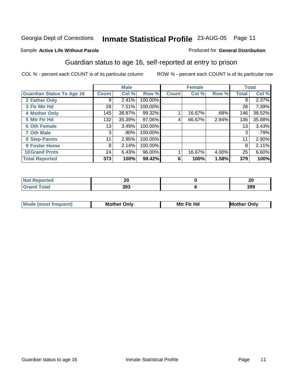#### Sample **Active Life Without Parole**

#### Produced for **General Distribution**

### Guardian status to age 16, self-reported at entry to prison

|                                  |         | <b>Male</b> |         |              | <b>Female</b> |          |              | <b>Total</b> |
|----------------------------------|---------|-------------|---------|--------------|---------------|----------|--------------|--------------|
| <b>Guardian Status To Age 16</b> | Count ! | Col %       | Row %   | <b>Count</b> | Col %         | Row %    | <b>Total</b> | Col %        |
| 2 Father Only                    | 9       | 2.41%       | 100.00% |              |               |          | 9            | 2.37%        |
| 3 Ftr Mtr Hd                     | 28      | 7.51%       | 100.00% |              |               |          | 28           | 7.39%        |
| <b>4 Mother Only</b>             | 145     | 38.87%      | 99.32%  |              | 16.67%        | .68%     | 146          | 38.52%       |
| 5 Mtr Ftr Hd                     | 132     | 35.39%      | 97.06%  |              | 66.67%        | 2.94%    | 136          | 35.88%       |
| <b>6 Oth Female</b>              | 13      | 3.49%       | 100.00% |              |               |          | 13           | 3.43%        |
| <b>7 Oth Male</b>                | 3       | $.80\%$     | 100.00% |              |               |          | 3            | .79%         |
| 8 Step-Parnts                    | 11      | 2.95%       | 100.00% |              |               |          | 11           | 2.90%        |
| 9 Foster Home                    | 8       | 2.14%       | 100.00% |              |               |          | 8            | 2.11%        |
| <b>10 Grand Prnts</b>            | 24      | 6.43%       | 96.00%  |              | 16.67%        | $4.00\%$ | 25           | 6.60%        |
| <b>Total Reported</b>            | 373     | 100%        | 98.42%  | 6            | 100%          | 1.58%    | 379          | 100%         |

| 2 v<br>$\sim$ | n,<br>~ |
|---------------|---------|
| າດາ<br>,,,    | 399     |

| <b>Mod</b> | <b>Mother</b><br>Onlv | Hc<br>. <u>.</u><br>Mtr | Only |
|------------|-----------------------|-------------------------|------|
|            |                       |                         |      |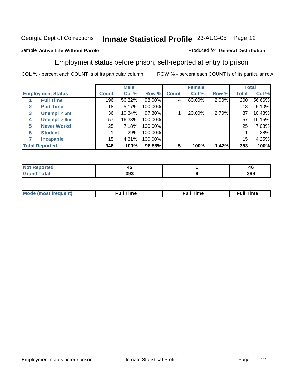#### Sample **Active Life Without Parole**

### Employment status before prison, self-reported at entry to prison

COL % - percent each COUNT is of its particular column ROW % - percent each COUNT is of its particular row

Produced for **General Distribution**

|                                  |              | <b>Male</b> |         |              | <b>Female</b> |          |              | <b>Total</b> |
|----------------------------------|--------------|-------------|---------|--------------|---------------|----------|--------------|--------------|
| <b>Employment Status</b>         | <b>Count</b> | Col %       | Row %   | <b>Count</b> | Col %         | Row %    | <b>Total</b> | Col %        |
| <b>Full Time</b>                 | 196          | 56.32%      | 98.00%  | 4            | 80.00%        | $2.00\%$ | 200          | 56.66%       |
| <b>Part Time</b><br>$\mathbf{2}$ | 18           | 5.17%       | 100.00% |              |               |          | 18           | 5.10%        |
| Unempl $<$ 6m<br>3               | 36           | $10.34\%$   | 97.30%  |              | 20.00%        | 2.70%    | 37           | 10.48%       |
| Unempl > 6m<br>4                 | 57           | 16.38%      | 100.00% |              |               |          | 57           | 16.15%       |
| <b>Never Workd</b><br>5          | 25           | 7.18%       | 100.00% |              |               |          | 25           | 7.08%        |
| <b>Student</b><br>6              |              | .29%        | 100.00% |              |               |          |              | .28%         |
| <b>Incapable</b>                 | 15           | 4.31%       | 100.00% |              |               |          | 15           | 4.25%        |
| <b>Total Reported</b>            | 348          | 100%        | 98.58%  | 5            | 100%          | 1.42%    | 353          | 100%         |

| тес    | - -<br>. .<br>∼ | - -<br>46 |
|--------|-----------------|-----------|
| ______ | 393             | 399       |

| Mo | un | ur<br>the contract of the contract of the contract of the contract of the contract of the contract of the contract of | <b>Full Time</b> |
|----|----|-----------------------------------------------------------------------------------------------------------------------|------------------|
|    |    |                                                                                                                       |                  |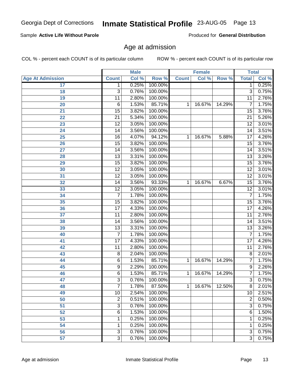### Sample **Active Life Without Parole**

Produced for **General Distribution**

### Age at admission

|                         |                 | <b>Male</b> |         |              | <b>Female</b> |        | <b>Total</b>    |       |
|-------------------------|-----------------|-------------|---------|--------------|---------------|--------|-----------------|-------|
| <b>Age At Admission</b> | <b>Count</b>    | Col %       | Row %   | <b>Count</b> | Col %         | Row %  | <b>Total</b>    | Col % |
| $\overline{17}$         | 1               | 0.25%       | 100.00% |              |               |        | 1               | 0.25% |
| 18                      | $\overline{3}$  | 0.76%       | 100.00% |              |               |        | 3               | 0.75% |
| 19                      | 11              | 2.80%       | 100.00% |              |               |        | 11              | 2.76% |
| 20                      | $\overline{6}$  | 1.53%       | 85.71%  | 1            | 16.67%        | 14.29% | $\overline{7}$  | 1.75% |
| 21                      | $\overline{15}$ | 3.82%       | 100.00% |              |               |        | $\overline{15}$ | 3.76% |
| 22                      | $\overline{21}$ | 5.34%       | 100.00% |              |               |        | $\overline{21}$ | 5.26% |
| 23                      | $\overline{12}$ | 3.05%       | 100.00% |              |               |        | $\overline{12}$ | 3.01% |
| $\overline{24}$         | 14              | 3.56%       | 100.00% |              |               |        | 14              | 3.51% |
| $\overline{25}$         | 16              | 4.07%       | 94.12%  | 1            | 16.67%        | 5.88%  | $\overline{17}$ | 4.26% |
| 26                      | $\overline{15}$ | 3.82%       | 100.00% |              |               |        | 15              | 3.76% |
| 27                      | 14              | 3.56%       | 100.00% |              |               |        | 14              | 3.51% |
| 28                      | $\overline{13}$ | 3.31%       | 100.00% |              |               |        | $\overline{13}$ | 3.26% |
| 29                      | $\overline{15}$ | 3.82%       | 100.00% |              |               |        | $\overline{15}$ | 3.76% |
| 30                      | $\overline{12}$ | 3.05%       | 100.00% |              |               |        | $\overline{12}$ | 3.01% |
| 31                      | $\overline{12}$ | 3.05%       | 100.00% |              |               |        | 12              | 3.01% |
| 32                      | 14              | 3.56%       | 93.33%  | 1            | 16.67%        | 6.67%  | $\overline{15}$ | 3.76% |
| 33                      | $\overline{12}$ | 3.05%       | 100.00% |              |               |        | $\overline{12}$ | 3.01% |
| 34                      | $\overline{7}$  | 1.78%       | 100.00% |              |               |        | $\overline{7}$  | 1.75% |
| 35                      | $\overline{15}$ | 3.82%       | 100.00% |              |               |        | 15              | 3.76% |
| 36                      | $\overline{17}$ | 4.33%       | 100.00% |              |               |        | $\overline{17}$ | 4.26% |
| 37                      | 11              | 2.80%       | 100.00% |              |               |        | $\overline{11}$ | 2.76% |
| 38                      | $\overline{14}$ | 3.56%       | 100.00% |              |               |        | 14              | 3.51% |
| 39                      | $\overline{13}$ | 3.31%       | 100.00% |              |               |        | 13              | 3.26% |
| 40                      | $\overline{7}$  | 1.78%       | 100.00% |              |               |        | $\overline{7}$  | 1.75% |
| 41                      | $\overline{17}$ | 4.33%       | 100.00% |              |               |        | $\overline{17}$ | 4.26% |
| 42                      | 11              | 2.80%       | 100.00% |              |               |        | $\overline{11}$ | 2.76% |
| 43                      | $\overline{8}$  | 2.04%       | 100.00% |              |               |        | 8               | 2.01% |
| 44                      | $\overline{6}$  | 1.53%       | 85.71%  | 1            | 16.67%        | 14.29% | $\overline{7}$  | 1.75% |
| 45                      | $\overline{9}$  | 2.29%       | 100.00% |              |               |        | 9               | 2.26% |
| 46                      | $\overline{6}$  | 1.53%       | 85.71%  | 1            | 16.67%        | 14.29% | $\overline{7}$  | 1.75% |
| 47                      | $\overline{3}$  | 0.76%       | 100.00% |              |               |        | $\overline{3}$  | 0.75% |
| 48                      | 7               | 1.78%       | 87.50%  | 1.           | 16.67%        | 12.50% | 8               | 2.01% |
| 49                      | $\overline{10}$ | 2.54%       | 100.00% |              |               |        | 10              | 2.51% |
| 50                      | $\overline{2}$  | 0.51%       | 100.00% |              |               |        | $\overline{c}$  | 0.50% |
| 51                      | $\overline{3}$  | 0.76%       | 100.00% |              |               |        | 3               | 0.75% |
| 52                      | $\overline{6}$  | 1.53%       | 100.00% |              |               |        | 6               | 1.50% |
| 53                      | 1               | 0.25%       | 100.00% |              |               |        | 1               | 0.25% |
| 54                      | 1               | 0.25%       | 100.00% |              |               |        | $\mathbf 1$     | 0.25% |
| 56                      | $\overline{3}$  | 0.76%       | 100.00% |              |               |        | $\overline{3}$  | 0.75% |
| 57                      | $\overline{3}$  | 0.76%       | 100.00% |              |               |        | $\overline{3}$  | 0.75% |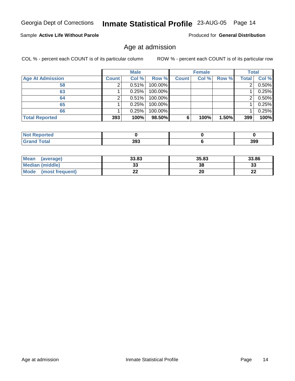### Sample **Active Life Without Parole**

Produced for **General Distribution**

### Age at admission

|                         | <b>Male</b>  |       | <b>Female</b> |              |       | <b>Total</b> |                |          |
|-------------------------|--------------|-------|---------------|--------------|-------|--------------|----------------|----------|
| <b>Age At Admission</b> | <b>Count</b> | Col % | Row %         | <b>Count</b> | Col % | Row %        | <b>Total</b>   | Col %    |
| 58                      |              | 0.51% | 100.00%       |              |       |              | $\overline{2}$ | $0.50\%$ |
| 63                      |              | 0.25% | 100.00%       |              |       |              |                | 0.25%    |
| 64                      |              | 0.51% | 100.00%       |              |       |              | 2              | $0.50\%$ |
| 65                      |              | 0.25% | 100.00%       |              |       |              |                | 0.25%    |
| 66                      |              | 0.25% | 100.00%       |              |       |              |                | 0.25%    |
| <b>Total Reported</b>   | 393          | 100%  | 98.50%        | 6            | 100%  | $1.50\%$     | 399            | 100%     |

| <b>NOT</b><br>ortea<br><b>CONTROL INCONSTRU</b> |     |     |
|-------------------------------------------------|-----|-----|
| <b>Total</b>                                    | 393 | 399 |

| <b>Mean</b><br>(average) | 33.83 | 35.83 | 33.86    |
|--------------------------|-------|-------|----------|
| Median (middle)          | -JJ   | 38    | n.<br>vu |
| Mode<br>(most frequent)  | --    | 20    | LL       |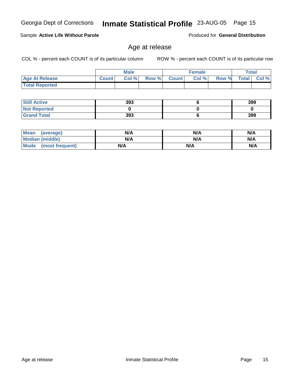| <b>Mean</b><br>(average)       | N/A | N/A | N/A |
|--------------------------------|-----|-----|-----|
| <b>Median (middle)</b>         | N/A | N/A | N/A |
| <b>Mode</b><br>(most frequent) | N/A | N/A | N/A |

 **Age At Release Count Col % Row % Count Col % Row % Total Col %** 

### Age at release

**Male**

COL % - percent each COUNT is of its particular column ROW % - percent each COUNT is of its particular row

Sample **Active Life Without Parole**

 **Total Reported**

 **Still Active Not Reported Grand Total**

**Female Total**

Produced for **General Distribution**

| 393         |             | 399         |
|-------------|-------------|-------------|
|             |             |             |
| 393         | u           | 399         |
|             |             |             |
| N/A         | N/A         | N/A         |
| <b>SILA</b> | <b>ALLA</b> | <b>NIJA</b> |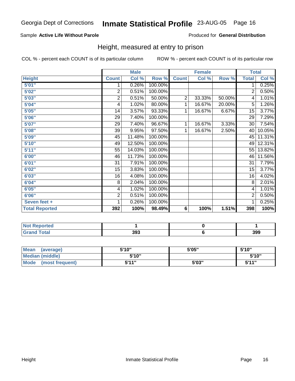#### Sample **Active Life Without Parole**

Produced for **General Distribution**

### Height, measured at entry to prison

|                       |                | <b>Male</b> |         |                | <b>Female</b> |        | <b>Total</b>   |        |
|-----------------------|----------------|-------------|---------|----------------|---------------|--------|----------------|--------|
| <b>Height</b>         | <b>Count</b>   | Col %       | Row %   | <b>Count</b>   | Col %         | Row %  | <b>Total</b>   | Col %  |
| 5'01''                | 1              | 0.26%       | 100.00% |                |               |        | 1              | 0.25%  |
| 5'02"                 | $\overline{2}$ | 0.51%       | 100.00% |                |               |        | $\overline{2}$ | 0.50%  |
| 5'03"                 | 2              | 0.51%       | 50.00%  | $\overline{2}$ | 33.33%        | 50.00% | 4              | 1.01%  |
| 5'04"                 | 4              | 1.02%       | 80.00%  | 1              | 16.67%        | 20.00% | 5              | 1.26%  |
| 5'05"                 | 14             | 3.57%       | 93.33%  | 1              | 16.67%        | 6.67%  | 15             | 3.77%  |
| 5'06''                | 29             | 7.40%       | 100.00% |                |               |        | 29             | 7.29%  |
| 5'07''                | 29             | 7.40%       | 96.67%  | 1              | 16.67%        | 3.33%  | 30             | 7.54%  |
| 5'08"                 | 39             | 9.95%       | 97.50%  | 1              | 16.67%        | 2.50%  | 40             | 10.05% |
| 5'09''                | 45             | 11.48%      | 100.00% |                |               |        | 45             | 11.31% |
| 5'10''                | 49             | 12.50%      | 100.00% |                |               |        | 49             | 12.31% |
| 5'11''                | 55             | 14.03%      | 100.00% |                |               |        | 55             | 13.82% |
| 6'00"                 | 46             | 11.73%      | 100.00% |                |               |        | 46             | 11.56% |
| 6'01''                | 31             | 7.91%       | 100.00% |                |               |        | 31             | 7.79%  |
| 6'02"                 | 15             | 3.83%       | 100.00% |                |               |        | 15             | 3.77%  |
| 6'03''                | 16             | 4.08%       | 100.00% |                |               |        | 16             | 4.02%  |
| 6'04"                 | 8              | 2.04%       | 100.00% |                |               |        | 8              | 2.01%  |
| 6'05"                 | 4              | 1.02%       | 100.00% |                |               |        | 4              | 1.01%  |
| 6'06"                 | 2              | 0.51%       | 100.00% |                |               |        | 2              | 0.50%  |
| Seven feet +          | 1              | 0.26%       | 100.00% |                |               |        | 1              | 0.25%  |
| <b>Total Reported</b> | 392            | 100%        | 98.49%  | 6              | 100%          | 1.51%  | 398            | 100%   |

| ortea                                        |          |     |
|----------------------------------------------|----------|-----|
| $\sim$<br>$\sim$ $\sim$ $\sim$ $\sim$ $\sim$ | ົ<br>აჟა | 399 |

| <b>Mean</b><br>(average) | 5'10" | 5'05" | 5'10" |
|--------------------------|-------|-------|-------|
| Median (middle)          | 5'10" |       | 5'10" |
| Mode<br>(most frequent)  | 5'11" | 5'03" | 5'11" |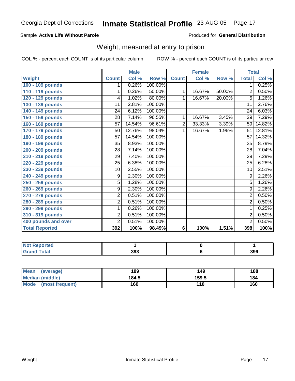#### Sample **Active Life Without Parole**

Produced for **General Distribution**

### Weight, measured at entry to prison

|                       | <b>Male</b>     |        | <b>Female</b> |                |        | <b>Total</b> |                 |        |
|-----------------------|-----------------|--------|---------------|----------------|--------|--------------|-----------------|--------|
| Weight                | <b>Count</b>    | Col %  | Row %         | <b>Count</b>   | Col %  | Row %        | <b>Total</b>    | Col %  |
| 100 - 109 pounds      | 1               | 0.26%  | 100.00%       |                |        |              | 1.              | 0.25%  |
| 110 - 119 pounds      | 1               | 0.26%  | 50.00%        | 1              | 16.67% | 50.00%       | 2               | 0.50%  |
| 120 - 129 pounds      | 4               | 1.02%  | 80.00%        | 1              | 16.67% | 20.00%       | 5               | 1.26%  |
| 130 - 139 pounds      | 11              | 2.81%  | 100.00%       |                |        |              | $\overline{11}$ | 2.76%  |
| 140 - 149 pounds      | 24              | 6.12%  | 100.00%       |                |        |              | 24              | 6.03%  |
| 150 - 159 pounds      | $\overline{28}$ | 7.14%  | 96.55%        | 1              | 16.67% | 3.45%        | $\overline{29}$ | 7.29%  |
| 160 - 169 pounds      | 57              | 14.54% | 96.61%        | $\overline{2}$ | 33.33% | 3.39%        | 59              | 14.82% |
| 170 - 179 pounds      | 50              | 12.76% | 98.04%        | 1              | 16.67% | 1.96%        | 51              | 12.81% |
| 180 - 189 pounds      | 57              | 14.54% | 100.00%       |                |        |              | 57              | 14.32% |
| 190 - 199 pounds      | 35              | 8.93%  | 100.00%       |                |        |              | 35              | 8.79%  |
| 200 - 209 pounds      | 28              | 7.14%  | 100.00%       |                |        |              | 28              | 7.04%  |
| 210 - 219 pounds      | $\overline{29}$ | 7.40%  | 100.00%       |                |        |              | $\overline{29}$ | 7.29%  |
| 220 - 229 pounds      | $\overline{25}$ | 6.38%  | 100.00%       |                |        |              | $\overline{25}$ | 6.28%  |
| 230 - 239 pounds      | 10              | 2.55%  | 100.00%       |                |        |              | $\overline{10}$ | 2.51%  |
| 240 - 249 pounds      | 9               | 2.30%  | 100.00%       |                |        |              | 9               | 2.26%  |
| 250 - 259 pounds      | $\overline{5}$  | 1.28%  | 100.00%       |                |        |              | $\overline{5}$  | 1.26%  |
| 260 - 269 pounds      | 9               | 2.30%  | 100.00%       |                |        |              | $\overline{9}$  | 2.26%  |
| 270 - 279 pounds      | $\overline{2}$  | 0.51%  | 100.00%       |                |        |              | $\overline{2}$  | 0.50%  |
| 280 - 289 pounds      | $\overline{2}$  | 0.51%  | 100.00%       |                |        |              | $\overline{2}$  | 0.50%  |
| 290 - 299 pounds      | 1               | 0.26%  | 100.00%       |                |        |              | 1               | 0.25%  |
| 310 - 319 pounds      | $\overline{2}$  | 0.51%  | 100.00%       |                |        |              | 2               | 0.50%  |
| 400 pounds and over   | $\overline{2}$  | 0.51%  | 100.00%       |                |        |              | $\overline{2}$  | 0.50%  |
| <b>Total Reported</b> | 392             | 100%   | 98.49%        | 6              | 100%   | 1.51%        | 398             | 100%   |

| Reported<br>NOT        |     |     |
|------------------------|-----|-----|
| <b>Total</b><br>$\sim$ | 393 | 399 |

| <b>Mean</b><br>(average)       | 189   | 149   | 188 |
|--------------------------------|-------|-------|-----|
| <b>Median (middle)</b>         | 184.5 | 159.5 | 184 |
| <b>Mode</b><br>(most frequent) | 160   | 110   | 160 |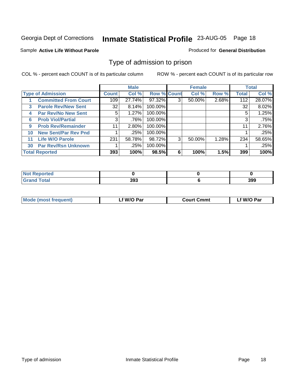#### Sample **Active Life Without Parole**

#### Produced for **General Distribution**

### Type of admission to prison

|                          |                             | <b>Male</b> |        |                    | <b>Female</b> |        |       | <b>Total</b> |        |
|--------------------------|-----------------------------|-------------|--------|--------------------|---------------|--------|-------|--------------|--------|
| <b>Type of Admission</b> |                             | Count       | Col %  | <b>Row % Count</b> |               | Col %  | Row % | <b>Total</b> | Col %  |
|                          | <b>Committed From Court</b> | 109         | 27.74% | 97.32%             | 3             | 50.00% | 2.68% | 112          | 28.07% |
| 3                        | <b>Parole Rev/New Sent</b>  | 32          | 8.14%  | 100.00%            |               |        |       | 32           | 8.02%  |
| 4                        | <b>Par Rev/No New Sent</b>  | 5.          | 1.27%  | 100.00%            |               |        |       | 5            | 1.25%  |
| 6                        | <b>Prob Viol/Partial</b>    | 3           | .76%   | 100.00%            |               |        |       | 3            | .75%   |
| 9                        | <b>Prob Rev/Remainder</b>   | 11          | 2.80%  | 100.00%            |               |        |       | 11           | 2.76%  |
| 10                       | <b>New Sent/Par Rev Pnd</b> |             | .25%   | 100.00%            |               |        |       |              | .25%   |
| 11                       | <b>Life W/O Parole</b>      | 231         | 58.78% | 98.72%             | 3             | 50.00% | 1.28% | 234          | 58.65% |
| 30                       | <b>Par Rev/Rsn Unknown</b>  |             | .25%   | 100.00%            |               |        |       |              | .25%   |
| <b>Total Reported</b>    |                             | 393         | 100%   | 98.5%              | 6             | 100%   | 1.5%  | 399          | 100%   |

| rreo |            |     |
|------|------------|-----|
| υιαι | າດາ<br>აყა | 399 |

| <b>Mode (most frequent)</b> | f W/O Par | <b>Court Cmmt</b> | `W/O Par |
|-----------------------------|-----------|-------------------|----------|
|                             |           |                   |          |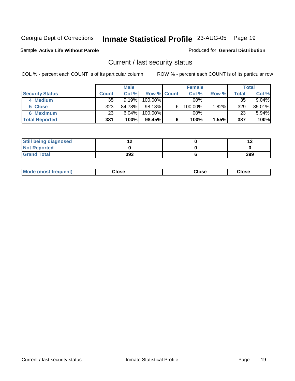#### Sample **Active Life Without Parole**

#### Produced for **General Distribution**

### Current / last security status

|                        | <b>Male</b>  |        |                    |   | <b>Female</b> | <b>Total</b> |       |        |
|------------------------|--------------|--------|--------------------|---|---------------|--------------|-------|--------|
| <b>Security Status</b> | <b>Count</b> | Col %  | <b>Row % Count</b> |   | Col %         | Row %        | Total | Col %  |
| 4 Medium               | 35           | 9.19%  | $100.00\%$         |   | .00%          |              | 35    | 9.04%  |
| 5 Close                | 323          | 84.78% | 98.18%             | 6 | 100.00%       | $1.82\%$     | 329   | 85.01% |
| 6 Maximum              | 23           | 6.04%  | 100.00%            |   | .00%          |              | 23    | 5.94%  |
| <b>Total Reported</b>  | 381          | 100%   | 98.45%             | 6 | 100%          | 1.55%        | 387   | 100%   |

| <b>Still being diagnosed</b> |     |     |
|------------------------------|-----|-----|
| <b>Not Reported</b>          |     |     |
| <b>Grand Total</b>           | 393 | 399 |

| <b>Mode</b><br>frequent)<br>a ımosı . | Jose<br>. | ∵lose | Close |
|---------------------------------------|-----------|-------|-------|
|                                       |           |       |       |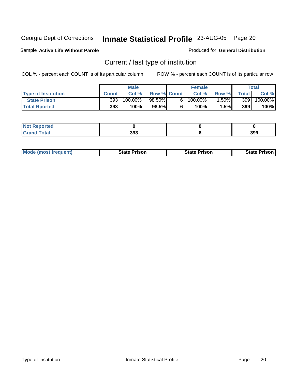#### Sample **Active Life Without Parole**

#### Produced for **General Distribution**

### Current / last type of institution

|                            | <b>Male</b>  |            |                    | <b>Female</b> |            |         | <b>Total</b> |            |
|----------------------------|--------------|------------|--------------------|---------------|------------|---------|--------------|------------|
| <b>Type of Institution</b> | <b>Count</b> | Col %      | <b>Row % Count</b> |               | Col %      | Row %   | <b>Total</b> | Col %      |
| <b>State Prison</b>        | 393          | $100.00\%$ | 98.50%             | 6.            | $100.00\%$ | $.50\%$ | 399          | $100.00\%$ |
| <b>Total Rported</b>       | 393          | 100%       | 98.5%              |               | 100%       | 1.5%I   | 399          | 100%       |

| Reported<br>N0<br>. |     |     |
|---------------------|-----|-----|
| <b>ota</b>          | 393 | 399 |

|  | <b>Mode (most frequent)</b> | <b>State Prison</b> | <b>State Prison</b> | <b>State Prison</b> |
|--|-----------------------------|---------------------|---------------------|---------------------|
|--|-----------------------------|---------------------|---------------------|---------------------|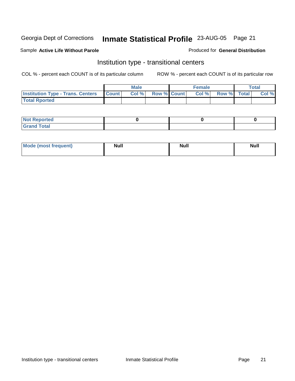#### Sample **Active Life Without Parole**

#### Produced for **General Distribution**

### Institution type - transitional centers

|                                                | Male  |                    | <b>Female</b> |                   | Total |
|------------------------------------------------|-------|--------------------|---------------|-------------------|-------|
| <b>Institution Type - Trans. Centers Count</b> | Col % | <b>Row % Count</b> |               | Col % Row % Total | Col % |
| <b>Total Rported</b>                           |       |                    |               |                   |       |

| <b>Not Reported</b>               |  |  |
|-----------------------------------|--|--|
| <b>Total</b><br>$C$ rar<br>$\sim$ |  |  |

| Mode (most frequent) | <b>Null</b> | <b>Null</b> | <b>Null</b> |
|----------------------|-------------|-------------|-------------|
|                      |             |             |             |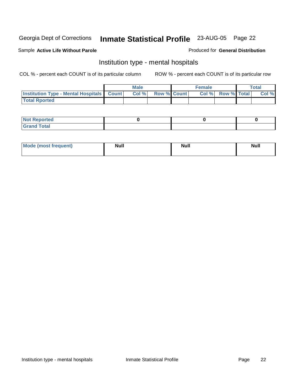#### Sample **Active Life Without Parole**

#### Produced for **General Distribution**

### Institution type - mental hospitals

|                                                    | Male  |                    | <b>Female</b> |                   | Total |
|----------------------------------------------------|-------|--------------------|---------------|-------------------|-------|
| <b>Institution Type - Mental Hospitals Count  </b> | Col % | <b>Row % Count</b> |               | Col % Row % Total | Col % |
| <b>Total Rported</b>                               |       |                    |               |                   |       |

| <b>Not Reported</b> |  |  |
|---------------------|--|--|
| <b>Total</b><br>r.  |  |  |

| Mode (most frequent) | <b>Null</b> | <b>Null</b> | <b>Null</b> |
|----------------------|-------------|-------------|-------------|
|                      |             |             |             |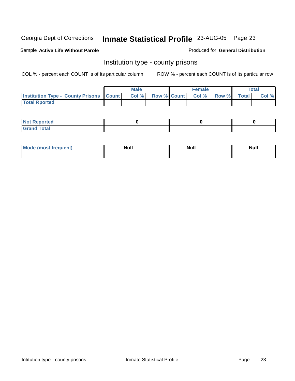#### Sample **Active Life Without Parole**

#### Produced for **General Distribution**

### Institution type - county prisons

|                                                    | <b>Male</b> |       |  | <b>Female</b> |                   |       | $\tau$ otal  |       |
|----------------------------------------------------|-------------|-------|--|---------------|-------------------|-------|--------------|-------|
| <b>Institution Type - County Prisons   Count  </b> |             | Col % |  |               | Row % Count Col % | Row % | <b>Total</b> | Col % |
| <b>Total Rported</b>                               |             |       |  |               |                   |       |              |       |

| <b>Not</b><br>Reported      |  |  |
|-----------------------------|--|--|
| d Total<br>'Grand<br>$\sim$ |  |  |

| <b>Mode (most frequent)</b> | Null | Null | <b>Null</b> |
|-----------------------------|------|------|-------------|
|                             |      |      |             |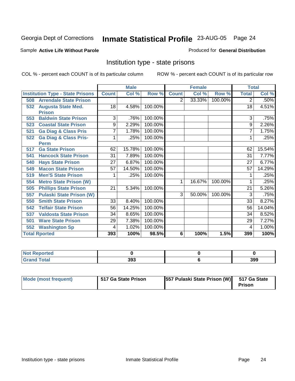#### Sample **Active Life Without Parole**

#### Produced for **General Distribution**

### Institution type - state prisons

|                      |                                         |                 | <b>Male</b> |         | <b>Female</b> |        |         | <b>Total</b>   |        |
|----------------------|-----------------------------------------|-----------------|-------------|---------|---------------|--------|---------|----------------|--------|
|                      | <b>Institution Type - State Prisons</b> | <b>Count</b>    | Col %       | Row %   | <b>Count</b>  | Col %  | Row %   | <b>Total</b>   | Col %  |
| 508                  | <b>Arrendale State Prison</b>           |                 |             |         | 2             | 33.33% | 100.00% | $\overline{2}$ | .50%   |
| 532                  | <b>Augusta State Med.</b>               | 18              | 4.58%       | 100.00% |               |        |         | 18             | 4.51%  |
|                      | <b>Prison</b>                           |                 |             |         |               |        |         |                |        |
| 553                  | <b>Baldwin State Prison</b>             | 3               | .76%        | 100.00% |               |        |         | 3              | .75%   |
| 523                  | <b>Coastal State Prison</b>             | 9               | 2.29%       | 100.00% |               |        |         | 9              | 2.26%  |
| 521                  | <b>Ga Diag &amp; Class Pris</b>         | 7               | 1.78%       | 100.00% |               |        |         | 7              | 1.75%  |
| 522                  | <b>Ga Diag &amp; Class Pris-</b>        | 1               | .25%        | 100.00% |               |        |         | 1              | .25%   |
| <b>Perm</b>          |                                         |                 |             |         |               |        |         |                |        |
| 517                  | <b>Ga State Prison</b>                  | 62              | 15.78%      | 100.00% |               |        |         | 62             | 15.54% |
| 541                  | <b>Hancock State Prison</b>             | 31              | 7.89%       | 100.00% |               |        |         | 31             | 7.77%  |
| 540                  | <b>Hays State Prison</b>                | 27              | 6.87%       | 100.00% |               |        |         | 27             | 6.77%  |
| 549                  | <b>Macon State Prison</b>               | 57              | 14.50%      | 100.00% |               |        |         | 57             | 14.29% |
| 519                  | <b>Men'S State Prison</b>               |                 | .25%        | 100.00% |               |        |         |                | .25%   |
| 554                  | <b>Metro State Prison (W)</b>           |                 |             |         | 1             | 16.67% | 100.00% | 1              | .25%   |
| 505                  | <b>Phillips State Prison</b>            | 21              | 5.34%       | 100.00% |               |        |         | 21             | 5.26%  |
| 557                  | <b>Pulaski State Prison (W)</b>         |                 |             |         | 3             | 50.00% | 100.00% | 3              | .75%   |
| 550                  | <b>Smith State Prison</b>               | $\overline{33}$ | 8.40%       | 100.00% |               |        |         | 33             | 8.27%  |
| 542                  | <b>Telfair State Prison</b>             | 56              | 14.25%      | 100.00% |               |        |         | 56             | 14.04% |
| 537                  | <b>Valdosta State Prison</b>            | 34              | 8.65%       | 100.00% |               |        |         | 34             | 8.52%  |
| 501                  | <b>Ware State Prison</b>                | 29              | 7.38%       | 100.00% |               |        |         | 29             | 7.27%  |
| 552                  | <b>Washington Sp</b>                    | 4               | 1.02%       | 100.00% |               |        |         | 4              | 1.00%  |
| <b>Total Rported</b> |                                         | 393             | 100%        | 98.5%   | 6             | 100%   | 1.5%    | 399            | 100%   |

| <b>Not</b><br>Reported |     |     |
|------------------------|-----|-----|
| <b>Total</b><br>-----  | 393 | 399 |

| Mode (most frequent) | 517 Ga State Prison | [557 Pulaski State Prison (W) 517 Ga State | <b>Prison</b> |
|----------------------|---------------------|--------------------------------------------|---------------|
|----------------------|---------------------|--------------------------------------------|---------------|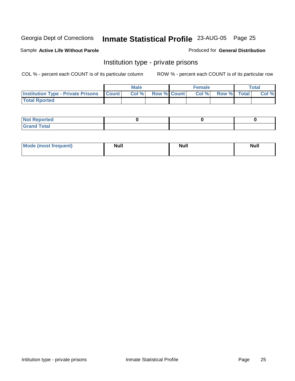#### Sample **Active Life Without Parole**

#### Produced for **General Distribution**

### Institution type - private prisons

|                                                     | <b>Male</b> |      |                    | <b>Female</b> |       |                    | <b>Total</b> |       |
|-----------------------------------------------------|-------------|------|--------------------|---------------|-------|--------------------|--------------|-------|
| <b>Institution Type - Private Prisons   Count  </b> |             | Col% | <b>Row % Count</b> |               | Col % | <b>Row %</b> Total |              | Col % |
| <b>Total Rported</b>                                |             |      |                    |               |       |                    |              |       |

| <b>Not Reported</b>                       |  |  |
|-------------------------------------------|--|--|
| <b>Total</b><br>Gr <sub>2</sub><br>$\sim$ |  |  |

| Mode (most frequent) | <b>Null</b> | <b>Null</b> | <b>Null</b> |
|----------------------|-------------|-------------|-------------|
|                      |             |             |             |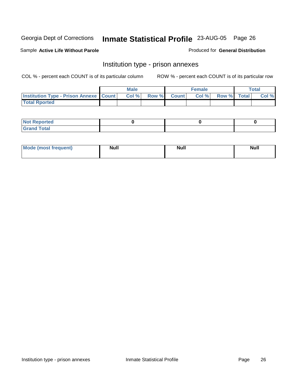Sample **Active Life Without Parole**

Produced for **General Distribution**

### Institution type - prison annexes

|                                                   | <b>Male</b> |       |  |             | <b>Female</b> | <b>Total</b> |  |       |
|---------------------------------------------------|-------------|-------|--|-------------|---------------|--------------|--|-------|
| <b>Institution Type - Prison Annexe   Count  </b> |             | Col % |  | Row % Count | Col %         | Row % Total  |  | Col % |
| <b>Total Rported</b>                              |             |       |  |             |               |              |  |       |

| $N$ nt R<br>Reported         |  |  |
|------------------------------|--|--|
| <b>Total</b><br><b>Grano</b> |  |  |

| Mode (most frequent) | <b>Null</b> | <b>Null</b> | <b>Null</b> |
|----------------------|-------------|-------------|-------------|
|                      |             |             |             |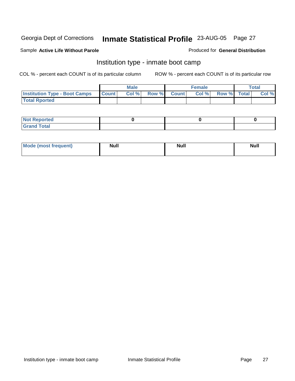#### Sample **Active Life Without Parole**

#### Produced for **General Distribution**

### Institution type - inmate boot camp

|                                      | <b>Male</b>  |  |                   | <b>Female</b> | Total       |  |       |
|--------------------------------------|--------------|--|-------------------|---------------|-------------|--|-------|
| <b>Institution Type - Boot Camps</b> | <b>Count</b> |  | Col % Row % Count | Col %         | Row % Total |  | Col % |
| <b>Total Rported</b>                 |              |  |                   |               |             |  |       |

| <b>Not Reported</b>          |  |  |
|------------------------------|--|--|
| Tota <sup>l</sup><br>$C = C$ |  |  |

| Mode (most frequent) | <b>Null</b> | <b>Null</b> | <b>Null</b> |
|----------------------|-------------|-------------|-------------|
|                      |             |             |             |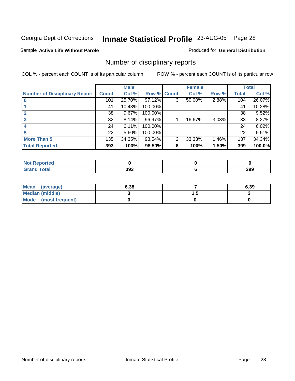#### Sample **Active Life Without Parole**

#### Produced for **General Distribution**

### Number of disciplinary reports

|                                      | <b>Male</b>  |        | <b>Female</b> |                |        | <b>Total</b> |       |        |
|--------------------------------------|--------------|--------|---------------|----------------|--------|--------------|-------|--------|
| <b>Number of Disciplinary Report</b> | <b>Count</b> | Col %  | Row % Count   |                | Col %  | Row %        | Total | Col %  |
|                                      | 101          | 25.70% | 97.12%        | 3              | 50.00% | 2.88%        | 104   | 26.07% |
|                                      | 41           | 10.43% | 100.00%       |                |        |              | 41    | 10.28% |
| $\overline{\mathbf{2}}$              | 38           | 9.67%  | 100.00%       |                |        |              | 38    | 9.52%  |
|                                      | 32           | 8.14%  | 96.97%        |                | 16.67% | 3.03%        | 33    | 8.27%  |
|                                      | 24           | 6.11%  | 100.00%       |                |        |              | 24    | 6.02%  |
| 5                                    | 22           | 5.60%  | 100.00%       |                |        |              | 22    | 5.51%  |
| <b>More Than 5</b>                   | 135          | 34.35% | 98.54%        | $\overline{2}$ | 33.33% | 1.46%        | 137   | 34.34% |
| <b>Total Reported</b>                | 393          | 100%   | 98.50%        | 6              | 100%   | 1.50%        | 399   | 100.0% |

| المصاد<br>теа<br>N |              |     |
|--------------------|--------------|-----|
|                    | 393<br>- - - | 399 |

| Mean (average)       | 6.38 |     | 6.39 |
|----------------------|------|-----|------|
| Median (middle)      |      | . . |      |
| Mode (most frequent) |      |     |      |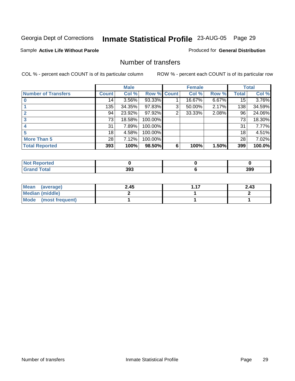#### Sample **Active Life Without Parole**

Produced for **General Distribution**

### Number of transfers

|                            |              | <b>Male</b> |         |                | <b>Female</b> |       |              | <b>Total</b> |
|----------------------------|--------------|-------------|---------|----------------|---------------|-------|--------------|--------------|
| <b>Number of Transfers</b> | <b>Count</b> | Col %       | Row %   | <b>Count</b>   | Col %         | Row % | <b>Total</b> | Col %        |
|                            | 14           | 3.56%       | 93.33%  |                | 16.67%        | 6.67% | 15           | 3.76%        |
|                            | 135          | 34.35%      | 97.83%  | 3              | 50.00%        | 2.17% | 138          | 34.59%       |
| $\mathbf{c}$               | 94           | 23.92%      | 97.92%  | $\overline{2}$ | 33.33%        | 2.08% | 96           | 24.06%       |
| 3                          | 73           | 18.58%      | 100.00% |                |               |       | 73           | 18.30%       |
|                            | 31           | 7.89%       | 100.00% |                |               |       | 31           | 7.77%        |
|                            | 18           | 4.58%       | 100.00% |                |               |       | 18           | 4.51%        |
| <b>More Than 5</b>         | 28           | 7.12%       | 100.00% |                |               |       | 28           | 7.02%        |
| <b>Total Reported</b>      | 393          | 100%        | 98.50%  | 6              | 100%          | 1.50% | 399          | 100.0%       |

| المصاد<br>теа<br>N |              |     |
|--------------------|--------------|-----|
|                    | 393<br>- - - | 399 |

| Mean (average)       | 2.45 | 2.43 |
|----------------------|------|------|
| Median (middle)      |      |      |
| Mode (most frequent) |      |      |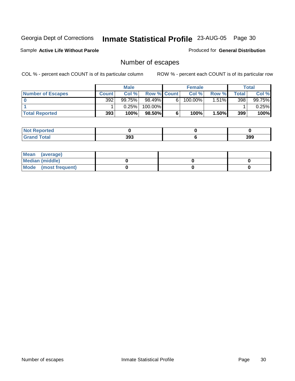Sample **Active Life Without Parole**

Produced for **General Distribution**

### Number of escapes

|                          | <b>Male</b>  |        |                    | <b>Female</b> |            |          | Total |          |
|--------------------------|--------------|--------|--------------------|---------------|------------|----------|-------|----------|
| <b>Number of Escapes</b> | <b>Count</b> | Col %  | <b>Row % Count</b> |               | Col %      | Row %    | Total | Col %    |
|                          | 392          | 99.75% | 98.49%             | 6             | $100.00\%$ | $1.51\%$ | 398   | 99.75%   |
|                          |              | 0.25%  | 100.00%            |               |            |          |       | $0.25\%$ |
| <b>Total Reported</b>    | 393          | 100%   | $98.50\%$          |               | 100%       | 1.50%    | 399   | 100%     |

| المتصنف للمناصر<br>rtea<br>NO: |     |     |
|--------------------------------|-----|-----|
| <b>Total</b><br>Grand          | 393 | 399 |

| Mean (average)       |  |  |
|----------------------|--|--|
| Median (middle)      |  |  |
| Mode (most frequent) |  |  |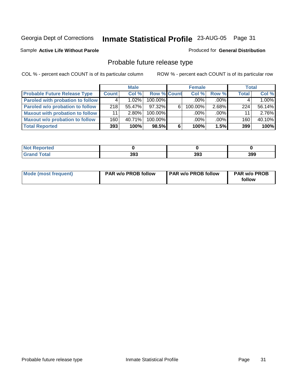#### Sample **Active Life Without Parole**

#### Produced for **General Distribution**

### Probable future release type

|                                         |              | <b>Male</b> |                    |   | <b>Female</b> |          | <b>Total</b> |        |
|-----------------------------------------|--------------|-------------|--------------------|---|---------------|----------|--------------|--------|
| <b>Probable Future Release Type</b>     | <b>Count</b> | Col %       | <b>Row % Count</b> |   | Col%          | Row %    | <b>Total</b> | Col %  |
| <b>Paroled with probation to follow</b> |              | $1.02\%$    | 100.00%            |   | $.00\%$       | $.00\%$  |              | 1.00%  |
| Paroled w/o probation to follow         | 218          | $55.47\%$   | $97.32\%$          | 6 | $100.00\%$    | $2.68\%$ | 224          | 56.14% |
| Maxout with probation to follow         | 11           | $2.80\%$    | 100.00%            |   | $.00\%$       | $.00\%$  | 11           | 2.76%  |
| <b>Maxout w/o probation to follow</b>   | 160          | $40.71\%$   | 100.00%            |   | $.00\%$       | $.00\%$  | 160          | 40.10% |
| <b>Total Reported</b>                   | 393          | 100%        | 98.5%              | 6 | 100%          | 1.5%     | 399          | 100%   |

| N<br>τeα |     |     |     |
|----------|-----|-----|-----|
|          | 393 | 393 | 399 |

| Mode (most frequent) | <b>PAR w/o PROB follow</b> | <b>PAR w/o PROB follow</b> | <b>PAR w/o PROB</b><br>follow |
|----------------------|----------------------------|----------------------------|-------------------------------|
|----------------------|----------------------------|----------------------------|-------------------------------|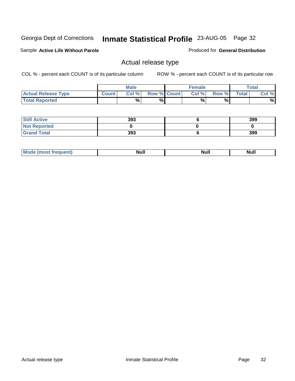Sample **Active Life Without Parole**

Produced for **General Distribution**

### Actual release type

|                            |              | <b>Male</b> |                    | <b>Female</b> |       |       | <b>Total</b> |
|----------------------------|--------------|-------------|--------------------|---------------|-------|-------|--------------|
| <b>Actual Release Type</b> | <b>Count</b> | Col %       | <b>Row % Count</b> | Col %         | Row % | Total | Col %        |
| <b>Total Reported</b>      |              | %           | %                  | %             | %     |       | %            |

| <b>Still Active</b> | 393 | 399 |
|---------------------|-----|-----|
| <b>Not Reported</b> |     |     |
| <b>Grand Total</b>  | 393 | 399 |

| .<br>,,,,,<br>. | æ |  |
|-----------------|---|--|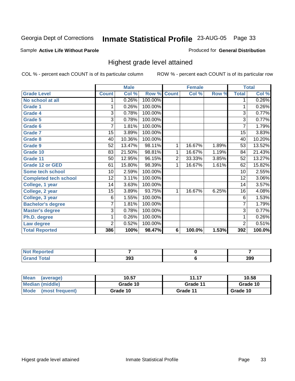#### Sample **Active Life Without Parole**

#### Produced for **General Distribution**

### Highest grade level attained

|                              |                 | <b>Male</b> |                    |                | <b>Female</b> |       |                 | <b>Total</b> |
|------------------------------|-----------------|-------------|--------------------|----------------|---------------|-------|-----------------|--------------|
| <b>Grade Level</b>           | <b>Count</b>    | Col %       | <b>Row % Count</b> |                | Col %         | Row % | <b>Total</b>    | Col %        |
| No school at all             | 1               | 0.26%       | 100.00%            |                |               |       | 1               | 0.26%        |
| <b>Grade 1</b>               |                 | 0.26%       | 100.00%            |                |               |       | 1               | 0.26%        |
| <b>Grade 4</b>               | 3               | 0.78%       | 100.00%            |                |               |       | 3               | 0.77%        |
| Grade 5                      | 3               | 0.78%       | 100.00%            |                |               |       | 3               | 0.77%        |
| Grade 6                      | 7               | 1.81%       | 100.00%            |                |               |       | 7               | 1.79%        |
| <b>Grade 7</b>               | 15              | 3.89%       | 100.00%            |                |               |       | $\overline{15}$ | 3.83%        |
| <b>Grade 8</b>               | 40              | 10.36%      | 100.00%            |                |               |       | 40              | 10.20%       |
| <b>Grade 9</b>               | $\overline{52}$ | 13.47%      | 98.11%             | 1              | 16.67%        | 1.89% | 53              | 13.52%       |
| Grade 10                     | 83              | 21.50%      | 98.81%             | 1              | 16.67%        | 1.19% | 84              | 21.43%       |
| Grade 11                     | 50              | 12.95%      | 96.15%             | $\overline{2}$ | 33.33%        | 3.85% | 52              | 13.27%       |
| <b>Grade 12 or GED</b>       | 61              | 15.80%      | 98.39%             | 1              | 16.67%        | 1.61% | 62              | 15.82%       |
| <b>Some tech school</b>      | 10              | 2.59%       | 100.00%            |                |               |       | 10              | 2.55%        |
| <b>Completed tech school</b> | 12              | 3.11%       | 100.00%            |                |               |       | 12              | 3.06%        |
| College, 1 year              | 14              | 3.63%       | 100.00%            |                |               |       | 14              | 3.57%        |
| College, 2 year              | 15              | 3.89%       | 93.75%             | 1              | 16.67%        | 6.25% | 16              | 4.08%        |
| College, 3 year              | 6               | 1.55%       | 100.00%            |                |               |       | 6               | 1.53%        |
| <b>Bachelor's degree</b>     | $\overline{7}$  | 1.81%       | 100.00%            |                |               |       | 7               | 1.79%        |
| <b>Master's degree</b>       | 3               | 0.78%       | 100.00%            |                |               |       | 3               | 0.77%        |
| Ph.D. degree                 | 1               | 0.26%       | 100.00%            |                |               |       | 1               | 0.26%        |
| Law degree                   | $\overline{2}$  | 0.52%       | 100.00%            |                |               |       | $\overline{2}$  | 0.51%        |
| <b>Total Reported</b>        | 386             | 100%        | 98.47%             | 6              | 100.0%        | 1.53% | 392             | 100.0%       |

| <b>Not Reported</b>               |     |     |
|-----------------------------------|-----|-----|
| <b>Grand Total</b><br><b>Grap</b> | 393 | 399 |

| <b>Mean</b><br>(average)       | 10.57    | 10.58    |          |
|--------------------------------|----------|----------|----------|
| Median (middle)                | Grade 10 | Grade 11 | Grade 10 |
| <b>Mode</b><br>(most frequent) | Grade 10 | Grade 11 | Grade 10 |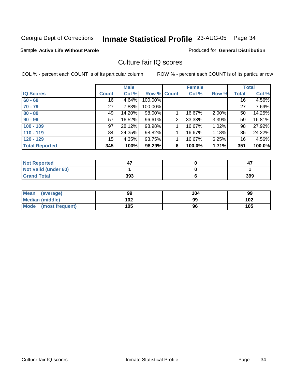#### Sample **Active Life Without Parole**

#### Produced for **General Distribution**

### Culture fair IQ scores

|                       |              | <b>Male</b> |             |                | <b>Female</b> |       |                 | <b>Total</b> |
|-----------------------|--------------|-------------|-------------|----------------|---------------|-------|-----------------|--------------|
| <b>IQ Scores</b>      | <b>Count</b> | Col %       | Row % Count |                | Col %         | Row % | <b>Total</b>    | Col %        |
| $60 - 69$             | 16           | 4.64%       | 100.00%     |                |               |       | 16 <sup>1</sup> | 4.56%        |
| $70 - 79$             | 27           | 7.83%       | 100.00%     |                |               |       | 27              | 7.69%        |
| $80 - 89$             | 49           | 14.20%      | 98.00%      |                | 16.67%        | 2.00% | 50              | 14.25%       |
| $90 - 99$             | 57           | 16.52%      | 96.61%      | $\overline{2}$ | 33.33%        | 3.39% | 59              | 16.81%       |
| $100 - 109$           | 97           | 28.12%      | 98.98%      |                | 16.67%        | 1.02% | 98 <sup>°</sup> | 27.92%       |
| $110 - 119$           | 84           | 24.35%      | 98.82%      |                | 16.67%        | 1.18% | 85              | 24.22%       |
| $120 - 129$           | 15           | 4.35%       | 93.75%      |                | 16.67%        | 6.25% | 16              | 4.56%        |
| <b>Total Reported</b> | 345          | 100%        | 98.29%      | 6              | 100.0%        | 1.71% | 351             | 100.0%       |

| <b>Not Reported</b>         |     | 47  |
|-----------------------------|-----|-----|
| <b>Not Valid (under 60)</b> |     |     |
| <b>Grand Total</b>          | 393 | 399 |

| Mean (average)       | 99  | 104 | 99  |
|----------------------|-----|-----|-----|
| Median (middle)      | 102 | 99  | 102 |
| Mode (most frequent) | 105 | 96  | 105 |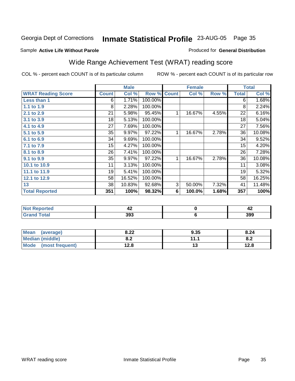#### Sample **Active Life Without Parole**

#### Produced for **General Distribution**

# Wide Range Achievement Test (WRAT) reading score

|                           |                 | <b>Male</b> |         |              | <b>Female</b> |       |                 | <b>Total</b> |
|---------------------------|-----------------|-------------|---------|--------------|---------------|-------|-----------------|--------------|
| <b>WRAT Reading Score</b> | <b>Count</b>    | Col %       | Row %   | <b>Count</b> | Col %         | Row % | <b>Total</b>    | Col %        |
| Less than 1               | 6               | 1.71%       | 100.00% |              |               |       | 6               | 1.68%        |
| 1.1 to 1.9                | 8               | 2.28%       | 100.00% |              |               |       | 8               | 2.24%        |
| 2.1 to 2.9                | $\overline{21}$ | 5.98%       | 95.45%  | 1            | 16.67%        | 4.55% | $\overline{22}$ | 6.16%        |
| 3.1 to 3.9                | 18              | 5.13%       | 100.00% |              |               |       | 18              | 5.04%        |
| 4.1 to 4.9                | 27              | 7.69%       | 100.00% |              |               |       | 27              | 7.56%        |
| 5.1 to 5.9                | 35              | 9.97%       | 97.22%  | 1            | 16.67%        | 2.78% | 36              | 10.08%       |
| 6.1 to 6.9                | 34              | 9.69%       | 100.00% |              |               |       | 34              | 9.52%        |
| 7.1 to 7.9                | 15              | 4.27%       | 100.00% |              |               |       | 15              | 4.20%        |
| 8.1 to 8.9                | 26              | 7.41%       | 100.00% |              |               |       | 26              | 7.28%        |
| 9.1 to 9.9                | 35              | 9.97%       | 97.22%  | 1            | 16.67%        | 2.78% | 36              | 10.08%       |
| 10.1 to 10.9              | 11              | 3.13%       | 100.00% |              |               |       | 11              | 3.08%        |
| 11.1 to 11.9              | 19              | 5.41%       | 100.00% |              |               |       | 19              | 5.32%        |
| 12.1 to 12.9              | 58              | 16.52%      | 100.00% |              |               |       | 58              | 16.25%       |
| 13                        | 38              | 10.83%      | 92.68%  | 3            | 50.00%        | 7.32% | 41              | 11.48%       |
| <b>Total Reported</b>     | 351             | 100%        | 98.32%  | 6            | 100.0%        | 1.68% | 357             | 100%         |
|                           |                 |             |         |              |               |       |                 |              |
| <b>Not Reported</b>       |                 | 42          |         |              | $\pmb{0}$     |       |                 | 42           |
| <b>Grand Total</b>        |                 | 393         |         |              | 6             |       |                 | 399          |

| <b>Mean</b><br>(average) | 8.22       | 9.35 | 8.24       |
|--------------------------|------------|------|------------|
| <b>Median (middle)</b>   | 0 מ<br>o.z | 4444 | о о<br>o.z |
| Mode<br>(most frequent)  | 12.8       | טו   | 12.8       |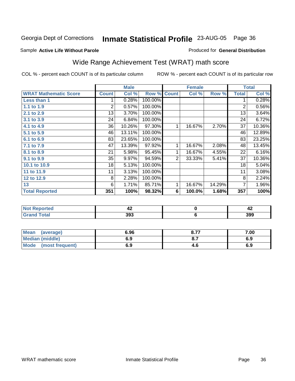#### Sample **Active Life Without Parole**

### Produced for **General Distribution**

### Wide Range Achievement Test (WRAT) math score

COL % - percent each COUNT is of its particular column ROW % - percent each COUNT is of its particular row

 **6**

|                              |              | <b>Male</b> |         |                | <b>Female</b> |        |                | <b>Total</b> |
|------------------------------|--------------|-------------|---------|----------------|---------------|--------|----------------|--------------|
| <b>WRAT Mathematic Score</b> | <b>Count</b> | Col %       | Row %   | <b>Count</b>   | Col %         | Row %  | <b>Total</b>   | Col %        |
| Less than 1                  |              | 0.28%       | 100.00% |                |               |        | 1              | 0.28%        |
| 1.1 to 1.9                   | 2            | 0.57%       | 100.00% |                |               |        | $\overline{2}$ | 0.56%        |
| 2.1 to 2.9                   | 13           | 3.70%       | 100.00% |                |               |        | 13             | 3.64%        |
| 3.1 to 3.9                   | 24           | 6.84%       | 100.00% |                |               |        | 24             | 6.72%        |
| 4.1 to 4.9                   | 36           | 10.26%      | 97.30%  | $\mathbf{1}$   | 16.67%        | 2.70%  | 37             | 10.36%       |
| 5.1 to 5.9                   | 46           | 13.11%      | 100.00% |                |               |        | 46             | 12.89%       |
| 6.1 to 6.9                   | 83           | 23.65%      | 100.00% |                |               |        | 83             | 23.25%       |
| 7.1 to 7.9                   | 47           | 13.39%      | 97.92%  | 1              | 16.67%        | 2.08%  | 48             | 13.45%       |
| 8.1 to 8.9                   | 21           | 5.98%       | 95.45%  | 1              | 16.67%        | 4.55%  | 22             | 6.16%        |
| 9.1 to 9.9                   | 35           | 9.97%       | 94.59%  | $\overline{2}$ | 33.33%        | 5.41%  | 37             | 10.36%       |
| 10.1 to 10.9                 | 18           | 5.13%       | 100.00% |                |               |        | 18             | 5.04%        |
| 11 to 11.9                   | 11           | 3.13%       | 100.00% |                |               |        | 11             | 3.08%        |
| 12 to 12.9                   | 8            | 2.28%       | 100.00% |                |               |        | 8              | 2.24%        |
| 13                           | 6            | 1.71%       | 85.71%  | 1              | 16.67%        | 14.29% | $\overline{7}$ | 1.96%        |
| <b>Total Reported</b>        | 351          | 100%        | 98.32%  | 6              | 100.0%        | 1.68%  | 357            | 100%         |
|                              |              |             |         |                |               |        |                |              |
| <b>Not Reported</b>          |              | 42          |         |                | $\mathbf 0$   |        |                | 42           |

| <b>Mean</b><br>(average) | 6.96 | o 77<br>o. 1 | 7.00 |
|--------------------------|------|--------------|------|
| <b>Median (middle)</b>   | 6.9  | $O_{11}$     | 6.9  |
| Mode<br>(most frequent)  | 6.9  | 4.C          | 6.9  |

 **393**

 **Grand Total**

 **399**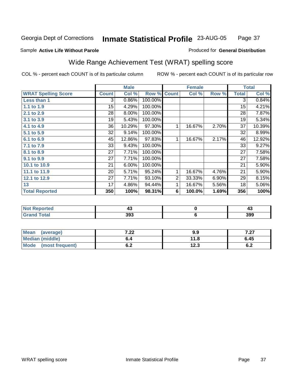### Sample **Active Life Without Parole**

#### Produced for **General Distribution**

# Wide Range Achievement Test (WRAT) spelling score

|                            |              | <b>Male</b> |           |                | <b>Female</b> |       |                 | <b>Total</b> |
|----------------------------|--------------|-------------|-----------|----------------|---------------|-------|-----------------|--------------|
| <b>WRAT Spelling Score</b> | <b>Count</b> | Col %       | Row %     | <b>Count</b>   | Col %         | Row % | <b>Total</b>    | Col %        |
| Less than 1                | 3            | 0.86%       | 100.00%   |                |               |       | 3               | 0.84%        |
| 1.1 to 1.9                 | 15           | 4.29%       | 100.00%   |                |               |       | $\overline{15}$ | 4.21%        |
| 2.1 to 2.9                 | 28           | 8.00%       | 100.00%   |                |               |       | 28              | 7.87%        |
| 3.1 to 3.9                 | 19           | 5.43%       | 100.00%   |                |               |       | 19              | 5.34%        |
| 4.1 to 4.9                 | 36           | 10.29%      | 97.30%    | $\mathbf{1}$   | 16.67%        | 2.70% | 37              | 10.39%       |
| 5.1 to 5.9                 | 32           | 9.14%       | 100.00%   |                |               |       | 32              | 8.99%        |
| 6.1 to 6.9                 | 45           | 12.86%      | 97.83%    | $\mathbf{1}$   | 16.67%        | 2.17% | 46              | 12.92%       |
| 7.1 to 7.9                 | 33           | 9.43%       | 100.00%   |                |               |       | 33              | 9.27%        |
| 8.1 to 8.9                 | 27           | 7.71%       | 100.00%   |                |               |       | 27              | 7.58%        |
| 9.1 to 9.9                 | 27           | 7.71%       | 100.00%   |                |               |       | 27              | 7.58%        |
| 10.1 to 10.9               | 21           | 6.00%       | 100.00%   |                |               |       | 21              | 5.90%        |
| 11.1 to 11.9               | 20           | 5.71%       | 95.24%    | 1              | 16.67%        | 4.76% | 21              | 5.90%        |
| 12.1 to 12.9               | 27           | 7.71%       | 93.10%    | $\overline{2}$ | 33.33%        | 6.90% | 29              | 8.15%        |
| 13                         | 17           | 4.86%       | 94.44%    | $\mathbf{1}$   | 16.67%        | 5.56% | 18              | 5.06%        |
| <b>Total Reported</b>      | 350          | 100%        | 98.31%    | 6              | 100.0%        | 1.69% | 356             | 100%         |
|                            |              |             |           |                |               |       |                 |              |
| <b>Not Reported</b>        | 43           |             | $\pmb{0}$ |                |               | 43    |                 |              |
| <b>Grand Total</b>         |              | 393         |           |                | $\bf 6$       |       |                 | 399          |

| Mean<br>(average)       | י ל<br>$\cdot$ 22 | 9.9  | 7.07<br>1 .ZI |
|-------------------------|-------------------|------|---------------|
| <b>Median (middle)</b>  |                   | 11.8 | 6.45          |
| Mode<br>(most frequent) | v.z               | 12.3 | . .<br>0.4    |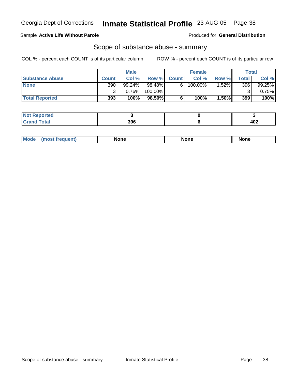### Sample **Active Life Without Parole**

Produced for **General Distribution**

### Scope of substance abuse - summary

|                        |              | <b>Male</b> |           |                    | <b>Female</b> |          | Total |           |
|------------------------|--------------|-------------|-----------|--------------------|---------------|----------|-------|-----------|
| <b>Substance Abuse</b> | <b>Count</b> | Col %       |           | <b>Row % Count</b> | Col %         | Row %    | Total | Col %     |
| <b>None</b>            | 390          | $99.24\%$   | $98.48\%$ | 61                 | $100.00\%$    | $1.52\%$ | 396   | $99.25\%$ |
|                        |              | 0.76%       | 100.00%   |                    |               |          |       | $0.75\%$  |
| <b>Total Reported</b>  | 393          | 100%        | 98.50%    |                    | 100%          | 1.50%    | 399   | 100%      |

| <b>Reported</b> |     |            |
|-----------------|-----|------------|
| <b>Total</b>    | 396 | 102<br>40Z |

|  | Mode | lone | None | <b>None</b> |
|--|------|------|------|-------------|
|--|------|------|------|-------------|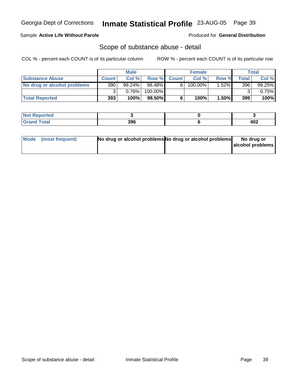### Sample **Active Life Without Parole**

Produced for **General Distribution**

### Scope of substance abuse - detail

|                             |              | <b>Male</b> |         |             | <b>Female</b> |          |       | <b>Total</b> |
|-----------------------------|--------------|-------------|---------|-------------|---------------|----------|-------|--------------|
| <b>Substance Abuse</b>      | <b>Count</b> | Col%        |         | Row % Count | Col%          | Row %    | Total | Col %        |
| No drug or alcohol problems | 390          | $99.24\%$   | 98.48%  | 61          | $100.00\%$    | $1.52\%$ | 396   | $99.25\%$    |
|                             | ◠            | 0.76%       | 100.00% |             |               |          | ົ     | $0.75\%$     |
| <b>Total Reported</b>       | 393          | 100%        | 98.50%  |             | 100%          | $1.50\%$ | 399   | 100%         |

| <b>Not</b><br><b>Reported</b> |     |     |
|-------------------------------|-----|-----|
| <b>Total</b>                  | 396 | 402 |

| Mode (most frequent) | No drug or alcohol problems No drug or alcohol problems | No drug or       |
|----------------------|---------------------------------------------------------|------------------|
|                      |                                                         | alcohol problems |
|                      |                                                         |                  |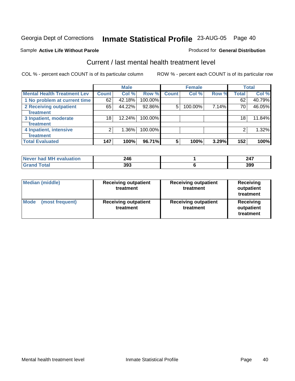#### Sample **Active Life Without Parole**

### Current / last mental health treatment level

COL % - percent each COUNT is of its particular column ROW % - percent each COUNT is of its particular row

Produced for **General Distribution**

|                                    |                    | <b>Male</b> |         |              | <b>Female</b> |       |              | <b>Total</b> |
|------------------------------------|--------------------|-------------|---------|--------------|---------------|-------|--------------|--------------|
| <b>Mental Health Treatment Lev</b> | Count <sup>1</sup> | Col %       | Row %   | <b>Count</b> | Col %         | Row % | <b>Total</b> | Col %        |
| 1 No problem at current time       | 62                 | 42.18%      | 100.00% |              |               |       | 62           | 40.79%       |
| 2 Receiving outpatient             | 65                 | 44.22%      | 92.86%  | 5            | 100.00%       | 7.14% | 70           | 46.05%       |
| treatment                          |                    |             |         |              |               |       |              |              |
| 3 Inpatient, moderate              | 18                 | 12.24%      | 100.00% |              |               |       | 18           | 11.84%       |
| treatment                          |                    |             |         |              |               |       |              |              |
| 4 Inpatient, intensive             | 2                  | 1.36%       | 100.00% |              |               |       |              | 1.32%        |
| treatment                          |                    |             |         |              |               |       |              |              |
| <b>Total Evaluated</b>             | 147                | 100%        | 96.71%  | 5            | 100%          | 3.29% | 152          | 100%         |

| Never had MH evaluation | 246 | 247 |
|-------------------------|-----|-----|
| Total                   | 393 | 399 |

| <b>Median (middle)</b>  | <b>Receiving outpatient</b><br>treatment | <b>Receiving outpatient</b><br>treatment | <b>Receiving</b><br>outpatient<br>treatment |  |
|-------------------------|------------------------------------------|------------------------------------------|---------------------------------------------|--|
| Mode<br>(most frequent) | <b>Receiving outpatient</b><br>treatment | <b>Receiving outpatient</b><br>treatment | Receiving<br>outpatient<br>treatment        |  |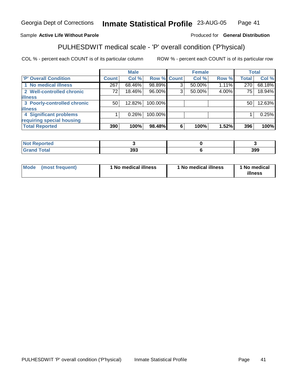### Sample **Active Life Without Parole**

#### Produced for **General Distribution**

# PULHESDWIT medical scale - 'P' overall condition ('P'hysical)

|                             |                 | <b>Male</b> |             |   | <b>Female</b> |       |                 | <b>Total</b> |
|-----------------------------|-----------------|-------------|-------------|---|---------------|-------|-----------------|--------------|
| 'P' Overall Condition       | <b>Count</b>    | Col %       | Row % Count |   | Col %         | Row % | <b>Total</b>    | Col %        |
| 1 No medical illness        | 267             | 68.46%      | 98.89%      | ◠ | 50.00%        | 1.11% | 270             | 68.18%       |
| 2 Well-controlled chronic   | 72 <sub>1</sub> | 18.46%      | 96.00%      | ົ | 50.00%        | 4.00% | 75 <sub>1</sub> | 18.94%       |
| <b>illness</b>              |                 |             |             |   |               |       |                 |              |
| 3 Poorly-controlled chronic | 50              | $12.82\%$   | 100.00%     |   |               |       | 50              | 12.63%       |
| <b>illness</b>              |                 |             |             |   |               |       |                 |              |
| 4 Significant problems      |                 | $0.26\%$    | 100.00%     |   |               |       |                 | 0.25%        |
| requiring special housing   |                 |             |             |   |               |       |                 |              |
| <b>Total Reported</b>       | 390             | 100%        | 98.48%      | 6 | 100%          | 1.52% | 396             | 100%         |

| rtea<br>a na matang kalawan<br>. |     |     |
|----------------------------------|-----|-----|
|                                  | 393 | 399 |

| Mode | (most frequent) | 1 No medical illness | <sup>1</sup> No medical illness | 1 No medical<br>illness |
|------|-----------------|----------------------|---------------------------------|-------------------------|
|------|-----------------|----------------------|---------------------------------|-------------------------|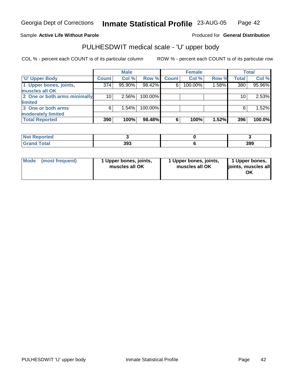#### Sample **Active Life Without Parole**

#### Produced for **General Distribution**

### PULHESDWIT medical scale - 'U' upper body

|                              |                  | <b>Male</b> |         |              | <b>Female</b> |       |              | Total  |
|------------------------------|------------------|-------------|---------|--------------|---------------|-------|--------------|--------|
| <b>TU' Upper Body</b>        | <b>Count</b>     | Col %       | Row %   | <b>Count</b> | Col %         | Row % | <b>Total</b> | Col %  |
| 1 Upper bones, joints,       | $\overline{374}$ | 95.90%      | 98.42%  | 6            | 100.00%       | 1.58% | 380          | 95.96% |
| muscles all OK               |                  |             |         |              |               |       |              |        |
| 2 One or both arms minimally | 10               | 2.56%       | 100.00% |              |               |       | 10           | 2.53%  |
| limited                      |                  |             |         |              |               |       |              |        |
| 3 One or both arms           | 6                | 1.54%       | 100.00% |              |               |       | 6            | 1.52%  |
| moderately limited           |                  |             |         |              |               |       |              |        |
| <b>Total Reported</b>        | 390              | 100%        | 98.48%  | 6            | 100%          | 1.52% | 396          | 100.0% |

| <b>Not Reported</b>   |     |     |
|-----------------------|-----|-----|
| <b>Total</b><br>-Gran | 393 | 399 |

| l Mode I | (most frequent) | 1 Upper bones, joints,<br>muscles all OK | 1 Upper bones, joints,<br>muscles all OK | 1 Upper bones,<br>joints, muscles all<br>ΟK |
|----------|-----------------|------------------------------------------|------------------------------------------|---------------------------------------------|
|----------|-----------------|------------------------------------------|------------------------------------------|---------------------------------------------|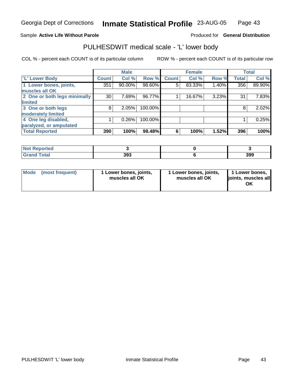### Sample **Active Life Without Parole**

#### Produced for **General Distribution**

### PULHESDWIT medical scale - 'L' lower body

|                              |              | <b>Male</b> |         |              | <b>Female</b> |       |              | <b>Total</b> |
|------------------------------|--------------|-------------|---------|--------------|---------------|-------|--------------|--------------|
| 'L' Lower Body               | <b>Count</b> | Col %       | Row %   | <b>Count</b> | Col %         | Row % | <b>Total</b> | Col %        |
| 1 Lower bones, joints,       | 351          | 90.00%      | 98.60%  | 5            | 83.33%        | 1.40% | 356          | 89.90%       |
| muscles all OK               |              |             |         |              |               |       |              |              |
| 2 One or both legs minimally | 30           | 7.69%       | 96.77%  |              | 16.67%        | 3.23% | 31           | 7.83%        |
| limited                      |              |             |         |              |               |       |              |              |
| 3 One or both legs           | 8            | 2.05%       | 100.00% |              |               |       | 8            | 2.02%        |
| moderately limited           |              |             |         |              |               |       |              |              |
| 4 One leg disabled,          |              | 0.26%       | 100.00% |              |               |       |              | 0.25%        |
| paralyzed, or amputated      |              |             |         |              |               |       |              |              |
| <b>Total Reported</b>        | 390          | 100%        | 98.48%  | 6            | 100%          | 1.52% | 396          | 100%         |

| <b>Not Reported</b>  |     |     |
|----------------------|-----|-----|
| <b>Total</b><br>Grat | 393 | 399 |

| <b>Mode</b> | (most frequent) | Lower bones, joints,<br>muscles all OK | 1 Lower bones, joints,<br>muscles all OK | 1 Lower bones,<br>joints, muscles all<br>ΟK |
|-------------|-----------------|----------------------------------------|------------------------------------------|---------------------------------------------|
|-------------|-----------------|----------------------------------------|------------------------------------------|---------------------------------------------|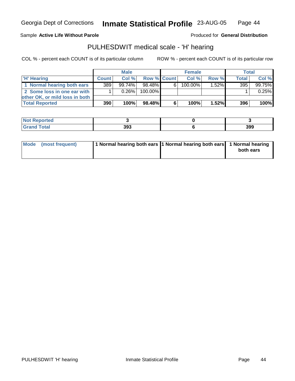Sample **Active Life Without Parole**

Produced for **General Distribution**

### PULHESDWIT medical scale - 'H' hearing

|                                |              | <b>Male</b> |             |   | <b>Female</b> |          | <b>Total</b> |        |
|--------------------------------|--------------|-------------|-------------|---|---------------|----------|--------------|--------|
| 'H' Hearing                    | <b>Count</b> | Col%        | Row % Count |   | Col%          | Row %    | <b>Total</b> | Col %  |
| 1 Normal hearing both ears     | 389          | $99.74\%$   | 98.48%      | 6 | 100.00%       | $1.52\%$ | 395          | 99.75% |
| 2 Some loss in one ear with    |              | $0.26\%$    | 100.00%     |   |               |          |              | 0.25%  |
| other OK, or mild loss in both |              |             |             |   |               |          |              |        |
| <b>Total Reported</b>          | 390          | 100%        | 98.48%      | 6 | 100%          | $1.52\%$ | 396          | 100%   |

| rted<br>N            |     |     |
|----------------------|-----|-----|
| <b>otal</b><br>_____ | 393 | 399 |

| Mode (most frequent) | 1 Normal hearing both ears 1 Normal hearing both ears 1 Normal hearing | both ears |
|----------------------|------------------------------------------------------------------------|-----------|
|                      |                                                                        |           |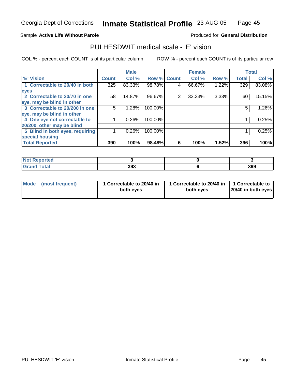### Sample **Active Life Without Parole**

#### Produced for **General Distribution**

### PULHESDWIT medical scale - 'E' vision

|                                 |              | <b>Male</b> |                    |   | <b>Female</b> |       |              | <b>Total</b> |
|---------------------------------|--------------|-------------|--------------------|---|---------------|-------|--------------|--------------|
| <b>E' Vision</b>                | <b>Count</b> | Col %       | <b>Row % Count</b> |   | Col %         | Row % | <b>Total</b> | Col %        |
| 1 Correctable to 20/40 in both  | 325          | 83.33%      | 98.78%             | 4 | 66.67%        | 1.22% | 329          | 83.08%       |
| eyes                            |              |             |                    |   |               |       |              |              |
| 2 Correctable to 20/70 in one   | 58           | 14.87%      | 96.67%             | 2 | 33.33%        | 3.33% | 60           | 15.15%       |
| eye, may be blind in other      |              |             |                    |   |               |       |              |              |
| 3 Correctable to 20/200 in one  | 5            | 1.28%       | 100.00%            |   |               |       | 5            | 1.26%        |
| eye, may be blind in other      |              |             |                    |   |               |       |              |              |
| 4 One eye not correctable to    |              | 0.26%       | 100.00%            |   |               |       |              | 0.25%        |
| 20/200, other may be blind      |              |             |                    |   |               |       |              |              |
| 5 Blind in both eyes, requiring |              | $0.26\%$    | 100.00%            |   |               |       |              | 0.25%        |
| special housing                 |              |             |                    |   |               |       |              |              |
| <b>Total Reported</b>           | 390          | 100%        | 98.48%             | 6 | 100%          | 1.52% | 396          | 100%         |

| <b>Not Reported</b> |     |     |
|---------------------|-----|-----|
| <b>Grand Total</b>  | 393 | 399 |

| Mode (most frequent) | 1 Correctable to 20/40 in<br>both eyes | 1 Correctable to 20/40 in   1 Correctable to<br>both eves | 20/40 in both eyes |
|----------------------|----------------------------------------|-----------------------------------------------------------|--------------------|
|----------------------|----------------------------------------|-----------------------------------------------------------|--------------------|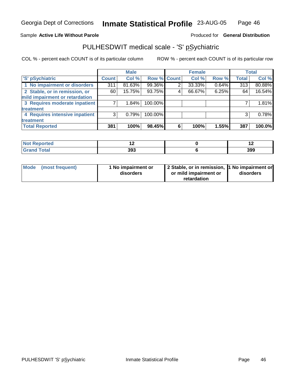#### Sample **Active Life Without Parole**

### Produced for **General Distribution**

### PULHESDWIT medical scale - 'S' pSychiatric

|                                |              | <b>Male</b> |             |   | <b>Female</b> |       |              | <b>Total</b> |
|--------------------------------|--------------|-------------|-------------|---|---------------|-------|--------------|--------------|
| 'S' pSychiatric                | <b>Count</b> | Col %       | Row % Count |   | Col %         | Row % | <b>Total</b> | Col %        |
| 1 No impairment or disorders   | 311          | 81.63%      | 99.36%      |   | 33.33%        | 0.64% | 313          | 80.88%       |
| 2 Stable, or in remission, or  | 60           | 15.75%      | 93.75%      | 4 | 66.67%        | 6.25% | 64           | $16.54\%$    |
| mild impairment or retardation |              |             |             |   |               |       |              |              |
| 3 Requires moderate inpatient  |              | $1.84\%$    | 100.00%     |   |               |       |              | 1.81%        |
| treatment                      |              |             |             |   |               |       |              |              |
| 4 Requires intensive inpatient | 3            | 0.79%       | 100.00%     |   |               |       | 3            | 0.78%        |
| treatment                      |              |             |             |   |               |       |              |              |
| <b>Total Reported</b>          | 381          | 100%        | 98.45%      | 6 | 100%          | 1.55% | 387          | 100.0%       |

| rted                  | . . |     |
|-----------------------|-----|-----|
| <b>Total</b><br>----- | 393 | 399 |

| Mode (most frequent) | 1 No impairment or<br>disorders | 2 Stable, or in remission, 1 No impairment or<br>or mild impairment or | disorders |
|----------------------|---------------------------------|------------------------------------------------------------------------|-----------|
|                      |                                 | retardation                                                            |           |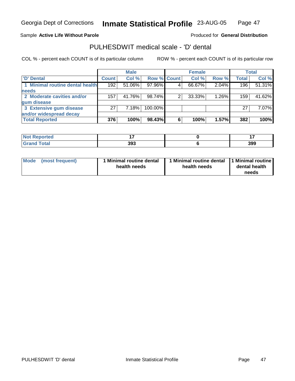#### Sample **Active Life Without Parole**

#### Produced for **General Distribution**

### PULHESDWIT medical scale - 'D' dental

|                                 |              | <b>Male</b> |                    |   | <b>Female</b> |       |              | <b>Total</b> |
|---------------------------------|--------------|-------------|--------------------|---|---------------|-------|--------------|--------------|
| <b>D' Dental</b>                | <b>Count</b> | Col %       | <b>Row % Count</b> |   | Col %         | Row % | <b>Total</b> | Col %        |
| 1 Minimal routine dental health | 192          | $51.06\%$   | 97.96%             |   | 66.67%        | 2.04% | 196          | 51.31%       |
| <b>needs</b>                    |              |             |                    |   |               |       |              |              |
| 2 Moderate cavities and/or      | 157          | 41.76%      | 98.74%             |   | 33.33%        | 1.26% | 159          | 41.62%       |
| gum disease                     |              |             |                    |   |               |       |              |              |
| 3 Extensive gum disease         | 27           | 7.18%       | 100.00%            |   |               |       | 27           | 7.07%        |
| and/or widespread decay         |              |             |                    |   |               |       |              |              |
| <b>Total Reported</b>           | 376          | 100%        | 98.43%             | 6 | 100%          | 1.57% | 382          | 100%         |

| <b>Not</b><br>ported? |     |     |
|-----------------------|-----|-----|
| <b>Tota'</b>          | 393 | 399 |

| Mode            | 1 Minimal routine dental | Minimal routine dental  1 Minimal routine | dental health |
|-----------------|--------------------------|-------------------------------------------|---------------|
| (most frequent) | health needs             | health needs                              | needs         |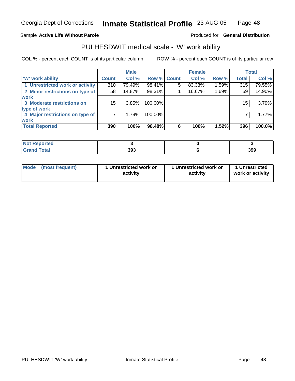#### Sample **Active Life Without Parole**

#### Produced for **General Distribution**

### PULHESDWIT medical scale - 'W' work ability

|                                 |              | <b>Male</b> |             |   | <b>Female</b> |       |              | Total  |
|---------------------------------|--------------|-------------|-------------|---|---------------|-------|--------------|--------|
| <b>W'</b> work ability          | <b>Count</b> | Col %       | Row % Count |   | Col %         | Row % | <b>Total</b> | Col %  |
| 1 Unrestricted work or activity | 310          | 79.49%      | 98.41%      | 5 | 83.33%        | 1.59% | 315          | 79.55% |
| 2 Minor restrictions on type of | 58           | 14.87%      | 98.31%      |   | 16.67%        | 1.69% | 59           | 14.90% |
| <b>work</b>                     |              |             |             |   |               |       |              |        |
| 3 Moderate restrictions on      | 15           | 3.85%       | 100.00%     |   |               |       | 15           | 3.79%  |
| type of work                    |              |             |             |   |               |       |              |        |
| 4 Major restrictions on type of |              | 1.79%       | 100.00%     |   |               |       |              | 1.77%  |
| <b>work</b>                     |              |             |             |   |               |       |              |        |
| <b>Total Reported</b>           | 390          | 100%        | 98.48%      | 6 | 100%          | 1.52% | 396          | 100.0% |

| ా∩rted                           |     |     |
|----------------------------------|-----|-----|
| <b>Total</b><br>$\mathbf{v}$ and | 393 | 399 |

| Mode            | 1 Unrestricted work or | 1 Unrestricted work or | 1 Unrestricted   |
|-----------------|------------------------|------------------------|------------------|
| (most frequent) | activity               | activity               | work or activity |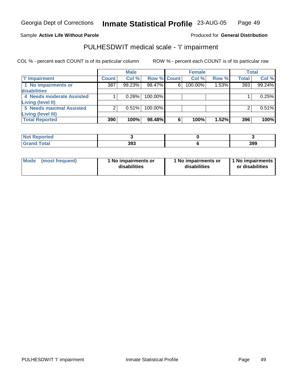#### Sample **Active Life Without Parole**

#### Produced for **General Distribution**

# PULHESDWIT medical scale - 'I' impairment

|                                 |              | <b>Male</b> |             |   | <b>Female</b> |       |              | <b>Total</b> |
|---------------------------------|--------------|-------------|-------------|---|---------------|-------|--------------|--------------|
| <b>T' Impairment</b>            | <b>Count</b> | Col %       | Row % Count |   | Col %         | Row % | <b>Total</b> | Col %        |
| 1 No impairments or             | 387          | 99.23%      | 98.47%      | 6 | 100.00%       | 1.53% | 393          | 99.24%       |
| disabilities                    |              |             |             |   |               |       |              |              |
| 4 Needs moderate Assisted       |              | 0.26%       | $100.00\%$  |   |               |       |              | 0.25%        |
| Living (level II)               |              |             |             |   |               |       |              |              |
| <b>5 Needs maximal Assisted</b> |              | 0.51%       | 100.00%     |   |               |       |              | 0.51%        |
| Living (level III)              |              |             |             |   |               |       |              |              |
| <b>Total Reported</b>           | 390          | 100%        | 98.48%      | 6 | 100%          | 1.52% | 396          | 100%         |

| <b>Reported</b><br>NOT. |     |     |
|-------------------------|-----|-----|
| <b>cotal</b><br>_____   | 393 | 399 |

| <b>Mode</b>     | 1 No impairments or | 1 No impairments or | I 1 No impairments |
|-----------------|---------------------|---------------------|--------------------|
| (most frequent) | disabilities        | disabilities        | or disabilities    |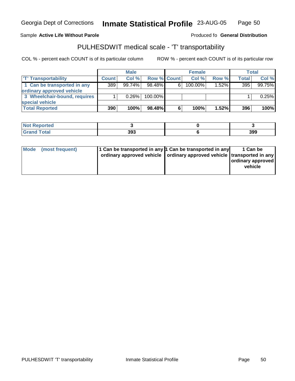Georgia Dept of Corrections

**Inmate Statistical Profile** 23-AUG-05 Page Page 50

#### Sample Active Life Without Parole **Active Life Without Parole** Produced fo General Distribution

### PULHESDWIT medical scale - 'T' transportability

|                              |              | <b>Male</b> |             |    | <b>Female</b> |          |       | Total  |
|------------------------------|--------------|-------------|-------------|----|---------------|----------|-------|--------|
| <b>T' Transportability</b>   | <b>Count</b> | Col%        | Row % Count |    | Col%          | Row %    | Total | Col %  |
| 1 Can be transported in any  | 389          | 99.74%      | $98.48\%$   | 6. | $100.00\%$    | $1.52\%$ | 395   | 99.75% |
| ordinary approved vehicle    |              |             |             |    |               |          |       |        |
| 3 Wheelchair-bound, requires |              | 0.26%       | $100.00\%$  |    |               |          |       | 0.25%  |
| special vehicle              |              |             |             |    |               |          |       |        |
| <b>Total Reported</b>        | 390          | 100%        | 98.48%I     | 6  | 100%          | 1.52%    | 396   | 100%   |

| <b>Not Reported</b>          |     |     |
|------------------------------|-----|-----|
| <b>Total</b><br><b>Grand</b> | 393 | 399 |

| ordinary approved vehicle   ordinary approved vehicle   transported in any  <br>  ordinary approved  <br>vehicle |
|------------------------------------------------------------------------------------------------------------------|
|------------------------------------------------------------------------------------------------------------------|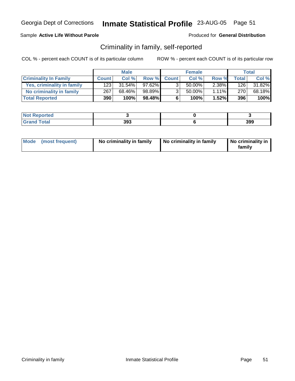### Sample **Active Life Without Parole**

Produced for **General Distribution**

### Criminality in family, self-reported

|                              |              | <b>Male</b> |           |                | <b>Female</b> |          |              | Total  |
|------------------------------|--------------|-------------|-----------|----------------|---------------|----------|--------------|--------|
| <b>Criminality In Family</b> | <b>Count</b> | Col %       |           | Row % Count    | Col %         | Row %    | <b>Total</b> | Col %  |
| Yes, criminality in family   | 123          | $31.54\%$   | $97.62\%$ | 3              | 50.00%        | 2.38%    | 126          | 31.82% |
| No criminality in family     | 267          | 68.46%      | 98.89%    | 3 <sub>1</sub> | 50.00%        | $1.11\%$ | 270 l        | 68.18% |
| <b>Total Reported</b>        | 390          | 100%        | 98.48%    | 6              | 100%          | 1.52%    | 396          | 100%   |

| neo    |              |     |
|--------|--------------|-----|
| .<br>. | 393<br>$  -$ | 399 |

| Mode (most frequent) | No criminality in family | No criminality in family | No criminality in<br>family |
|----------------------|--------------------------|--------------------------|-----------------------------|
|----------------------|--------------------------|--------------------------|-----------------------------|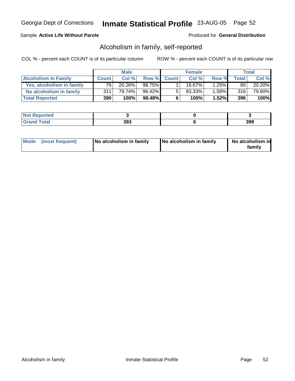### Sample **Active Life Without Parole**

Produced for **General Distribution**

### Alcoholism in family, self-reported

|                             |              | <b>Male</b> |         |             | <b>Female</b> |       |              | Total  |
|-----------------------------|--------------|-------------|---------|-------------|---------------|-------|--------------|--------|
| <b>Alcoholism In Family</b> | <b>Count</b> | Col %       |         | Row % Count | Col %         | Row % | <b>Total</b> | Col %  |
| Yes, alcoholism in family   | 79           | $20.26\%$   | 98.75%I |             | 16.67%        | 1.25% | 80           | 20.20% |
| No alcoholism in family     | 311          | 79.74%      | 98.42%  | -51         | 83.33%        | 1.58% | 316          | 79.80% |
| <b>Total Reported</b>       | 390          | 100%        | 98.48%  | 6           | 100%          | 1.52% | 396          | 100%   |

| n eo |     |     |
|------|-----|-----|
| ---  | 393 | 399 |

| Mode (most frequent) | No alcoholism in family | No alcoholism in family | No alcoholism in<br>familv |
|----------------------|-------------------------|-------------------------|----------------------------|
|----------------------|-------------------------|-------------------------|----------------------------|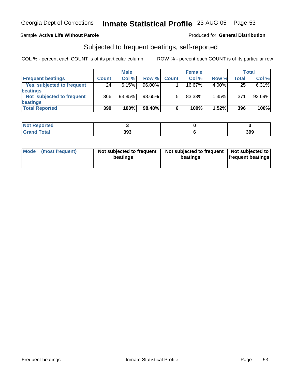### Sample **Active Life Without Parole**

#### Produced for **General Distribution**

### Subjected to frequent beatings, self-reported

|                            |              | <b>Male</b> |        |              | <b>Female</b> |          |              | <b>Total</b> |
|----------------------------|--------------|-------------|--------|--------------|---------------|----------|--------------|--------------|
| <b>Frequent beatings</b>   | <b>Count</b> | Col%        | Row %  | <b>Count</b> | Col %         | Row %    | <b>Total</b> | Col %        |
| Yes, subjected to frequent | 24           | 6.15%       | 96.00% |              | 16.67%        | $4.00\%$ | 25           | 6.31%        |
| beatings                   |              |             |        |              |               |          |              |              |
| Not subjected to frequent  | 366          | 93.85%      | 98.65% | 5            | 83.33%        | $1.35\%$ | 371          | 93.69%       |
| beatings                   |              |             |        |              |               |          |              |              |
| <b>Total Reported</b>      | 390          | 100%        | 98.48% | 6            | 100%          | 1.52%    | 396          | 100%         |

| <b>Not Reported</b><br>$\sim$ . The set of $\sim$ |     |     |
|---------------------------------------------------|-----|-----|
| <b>Total</b><br>Cror                              | 393 | 399 |

| Mode | (most frequent) | Not subjected to frequent<br>beatings | Not subjected to frequent   Not subjected to  <br>beatings | <b>frequent beatings</b> |
|------|-----------------|---------------------------------------|------------------------------------------------------------|--------------------------|
|------|-----------------|---------------------------------------|------------------------------------------------------------|--------------------------|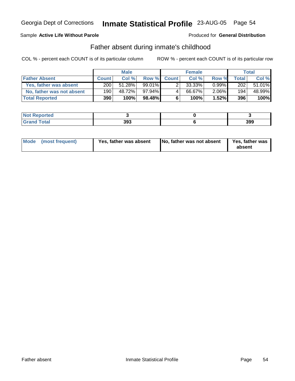### Sample **Active Life Without Parole**

#### Produced for **General Distribution**

### Father absent during inmate's childhood

|                           |              | <b>Male</b> |           |             | <b>Female</b> |          |              | Total  |
|---------------------------|--------------|-------------|-----------|-------------|---------------|----------|--------------|--------|
| <b>Father Absent</b>      | <b>Count</b> | Col %       |           | Row % Count | Col %         | Row %    | <b>Total</b> | Col %  |
| Yes, father was absent    | 200          | 51.28%      | $99.01\%$ |             | 33.33%        | $0.99\%$ | 202          | 51.01% |
| No, father was not absent | 190          | 48.72%      | 97.94% I  |             | 66.67%        | $2.06\%$ | 194          | 48.99% |
| <b>Total Reported</b>     | 390          | 100%        | $98.48\%$ | 6           | 100%          | 1.52%    | 396          | 100%   |

| <b>rted</b>                    |     |     |
|--------------------------------|-----|-----|
| $\mathcal{L}$ at all<br>$\sim$ | 393 | 399 |

| Yes, father was absent<br>Mode (most frequent) | No, father was not absent | Yes, father was<br>absent |
|------------------------------------------------|---------------------------|---------------------------|
|------------------------------------------------|---------------------------|---------------------------|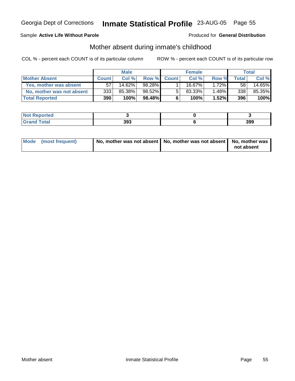### Sample **Active Life Without Parole**

#### Produced for **General Distribution**

### Mother absent during inmate's childhood

|                           |              | <b>Male</b> |        |             | <b>Female</b> |          |              | Total  |
|---------------------------|--------------|-------------|--------|-------------|---------------|----------|--------------|--------|
| <b>Mother Absent</b>      | <b>Count</b> | Col%        |        | Row % Count | Col %         | Row %    | <b>Total</b> | Col %  |
| Yes, mother was absent    | 57           | 14.62%      | 98.28% |             | 16.67%।       | $1.72\%$ | 58           | 14.65% |
| No, mother was not absent | 333          | 85.38%      | 98.52% | 5           | 83.33%        | 1.48%    | 338          | 85.35% |
| <b>Total Reported</b>     | 390          | 100%        | 98.48% | 6           | 100%          | 1.52%    | 396          | 100%   |

| <b>rted</b>       |            |     |
|-------------------|------------|-----|
| المفمار<br>$\sim$ | 202<br>აჟა | 399 |

| Mode (most frequent) | No, mother was not absent   No, mother was not absent   No, mother was |            |  |
|----------------------|------------------------------------------------------------------------|------------|--|
|                      |                                                                        | not absent |  |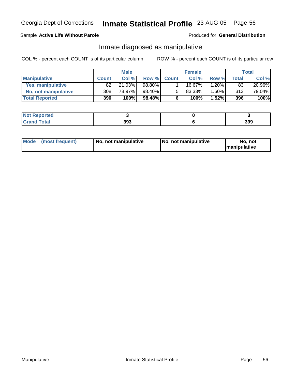### Sample **Active Life Without Parole**

#### Produced for **General Distribution**

### Inmate diagnosed as manipulative

|                       |              | <b>Male</b> |        |              | <b>Female</b> |          |       | Total  |
|-----------------------|--------------|-------------|--------|--------------|---------------|----------|-------|--------|
| <b>Manipulative</b>   | <b>Count</b> | Col %       | Row %  | <b>Count</b> | Col %         | Row %    | Total | Col %  |
| Yes, manipulative     | 82           | 21.03%      | 98.80% |              | $16.67\%$     | 1.20% l  | 83    | 20.96% |
| No, not manipulative  | 308          | 78.97%      | 98.40% | 5            | 83.33%        | $1.60\%$ | 313   | 79.04% |
| <b>Total Reported</b> | 390          | 100%        | 98.48% | 6            | 100%          | $1.52\%$ | 396   | 100%   |

| neo               |     |     |
|-------------------|-----|-----|
| $\Delta + \Delta$ | 393 | 399 |

| Mode | (most frequent) | No. not manipulative | <b>I</b> No. not manipulative | not<br>No<br><b>Imanipulative</b> |
|------|-----------------|----------------------|-------------------------------|-----------------------------------|
|------|-----------------|----------------------|-------------------------------|-----------------------------------|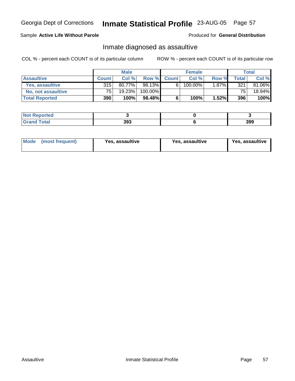### Sample **Active Life Without Parole**

Produced for **General Distribution**

### Inmate diagnosed as assaultive

|                       |              | <b>Male</b> |         |             | <b>Female</b> |       |                 | Total  |
|-----------------------|--------------|-------------|---------|-------------|---------------|-------|-----------------|--------|
| <b>Assaultive</b>     | <b>Count</b> | Col %       |         | Row % Count | Col %         | Row % | <b>Total</b>    | Col %  |
| Yes, assaultive       | 315          | 80.77%      | 98.13%  | 6           | 100.00%       | 1.87% | 321             | 81.06% |
| No, not assaultive    | 75.          | 19.23%      | 100.00% |             |               |       | 75 <sub>1</sub> | 18.94% |
| <b>Total Reported</b> | <b>390</b>   | 100%        | 98.48%  | 6           | 100%          | 1.52% | 396             | 100%   |

| <b>rted</b>                    |     |     |
|--------------------------------|-----|-----|
| $\mathcal{L}$ at all<br>$\sim$ | 393 | 399 |

| <b>Mode</b><br>Yes, assaultive<br>(most frequent) | Yes, assaultive | Yes, assaultive |
|---------------------------------------------------|-----------------|-----------------|
|---------------------------------------------------|-----------------|-----------------|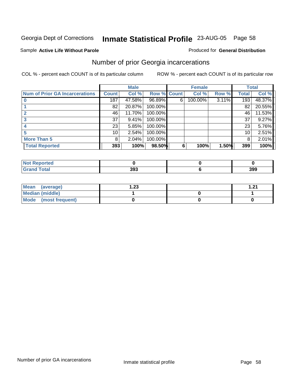#### Sample **Active Life Without Parole**

#### Produced for **General Distribution**

### Number of prior Georgia incarcerations

|                                |              | <b>Male</b> |         |             | <b>Female</b> |          |              | <b>Total</b> |
|--------------------------------|--------------|-------------|---------|-------------|---------------|----------|--------------|--------------|
| Num of Prior GA Incarcerations | <b>Count</b> | Col %       |         | Row % Count | Col %         | Row %    | <b>Total</b> | Col %        |
|                                | 187          | 47.58%      | 96.89%  | 6           | 100.00%       | $3.11\%$ | 193          | 48.37%       |
|                                | 82           | 20.87%      | 100.00% |             |               |          | 82           | 20.55%       |
|                                | 46           | 11.70%      | 100.00% |             |               |          | 46           | 11.53%       |
|                                | 37           | 9.41%       | 100.00% |             |               |          | 37           | 9.27%        |
|                                | 23           | 5.85%       | 100.00% |             |               |          | 23           | 5.76%        |
|                                | 10           | 2.54%       | 100.00% |             |               |          | 10           | 2.51%        |
| <b>More Than 5</b>             | 8            | 2.04%       | 100.00% |             |               |          | 8            | 2.01%        |
| <b>Total Reported</b>          | 393          | 100%        | 98.50%  | 6           | 100%          | 1.50%    | 399          | 100%         |

| المناسب<br><b>eported</b><br>N. |     |     |
|---------------------------------|-----|-----|
|                                 | 393 | 399 |

| Mean (average)       | 23. ا | 1.21<br>I .Z I |
|----------------------|-------|----------------|
| Median (middle)      |       |                |
| Mode (most frequent) |       |                |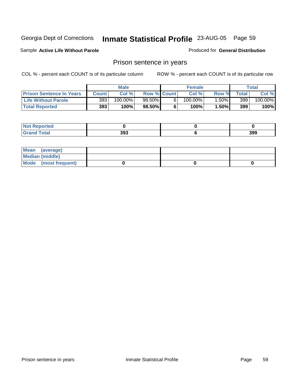#### Sample **Active Life Without Parole**

Produced for **General Distribution**

### Prison sentence in years

|                                 |              | Male    |                    | <b>Female</b> |       |                  | $\tau$ otal |
|---------------------------------|--------------|---------|--------------------|---------------|-------|------------------|-------------|
| <b>Prison Sentence In Years</b> | <b>Count</b> | Col %   | <b>Row % Count</b> | Col %         | Row % | Total            | Col %       |
| <b>Life Without Parole</b>      | 393          | 100.00% | $98.50\%$          | $100.00\%$    | .50%  | 399 <sub>1</sub> | $100.00\%$  |
| <b>Total Reported</b>           | 393          | 100%    | 98.50%             | 100%          | 1.50% | 399              | 100%        |

| <b>Convergenced</b> the second second second second second second second second second second second second second seco |     |     |
|-------------------------------------------------------------------------------------------------------------------------|-----|-----|
| 'otal                                                                                                                   | 393 | 399 |

| Mean (average)       |  |  |
|----------------------|--|--|
| Median (middle)      |  |  |
| Mode (most frequent) |  |  |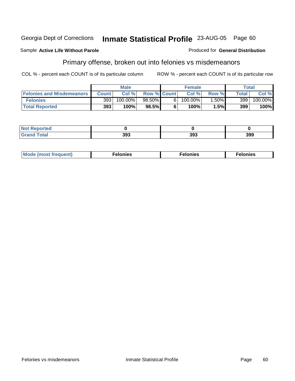#### Sample **Active Life Without Parole**

### Primary offense, broken out into felonies vs misdemeanors

COL % - percent each COUNT is of its particular column ROW % - percent each COUNT is of its particular row

|                                  |       | <b>Male</b> |                    |                | <b>Female</b> |         |       | Total                 |
|----------------------------------|-------|-------------|--------------------|----------------|---------------|---------|-------|-----------------------|
| <b>Felonies and Misdemeanors</b> | Count | Col %       | <b>Row % Count</b> |                | Col%          | Row %   | Total | Col %                 |
| <b>Felonies</b>                  | 393   | 100.00%     | 98.50%             | 6 <sub>1</sub> | $100.00\%$    | $.50\%$ | 399   | $100.\overline{00\%}$ |
| <b>Total Reported</b>            | 393   | 100%        | 98.5%              |                | 100%          | 5%l     | 399   | 100%                  |

| <b>Not</b><br><b>Reported</b><br>. |            |     |     |
|------------------------------------|------------|-----|-----|
| <b>Total</b><br><b>Grand</b>       | 202<br>ວວວ | 393 | 399 |

| M <sub>o</sub><br>. Aduant)<br>nies<br>. | . | . |
|------------------------------------------|---|---|
|------------------------------------------|---|---|

Produced for **General Distribution**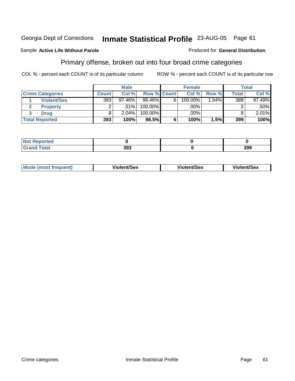### Sample **Active Life Without Parole**

### Primary offense, broken out into four broad crime categories

COL % - percent each COUNT is of its particular column ROW % - percent each COUNT is of its particular row

Produced for **General Distribution**

|                         |         | <b>Male</b> |             |   | <b>Female</b> |          |              | <b>Total</b> |
|-------------------------|---------|-------------|-------------|---|---------------|----------|--------------|--------------|
| <b>Crime Categories</b> | Count ! | Col %       | Row % Count |   | Col %         | Row %    | <b>Total</b> | Col %        |
| <b>Violent/Sex</b>      | 383     | 97.46%      | $98.46\%$   | 6 | 100.00%       | $1.54\%$ | 389          | $97.49\%$    |
| <b>Property</b>         | ◠       | .51%        | 100.00%     |   | $.00\%$       |          |              | $.50\%$      |
| <b>Drug</b>             |         | 2.04%       | 100.00%     |   | .00%          |          |              | $2.01\%$     |
| <b>Total Reported</b>   | 393     | 100%        | $98.5\%$    | 6 | 100%          | 1.5%     | 399          | 100%         |

| _<br>. | າດາ<br>,,, | 399 |
|--------|------------|-----|

| Mode (most frequent) | <b>Violent/Sex</b> | <b>Violent/Sex</b> | Violent/Sex |
|----------------------|--------------------|--------------------|-------------|
|                      |                    |                    |             |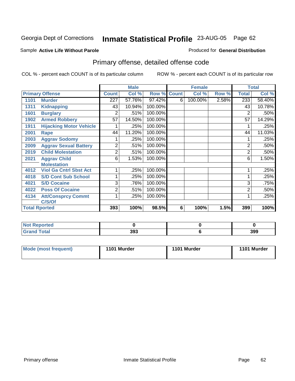#### Sample **Active Life Without Parole**

#### Produced for **General Distribution**

# Primary offense, detailed offense code

|      |                                |              | <b>Male</b> |         | <b>Female</b> |         | <b>Total</b> |              |        |
|------|--------------------------------|--------------|-------------|---------|---------------|---------|--------------|--------------|--------|
|      | <b>Primary Offense</b>         | <b>Count</b> | Col %       | Row %   | <b>Count</b>  | Col %   | Row %        | <b>Total</b> | Col %  |
| 1101 | <b>Murder</b>                  | 227          | 57.76%      | 97.42%  | 6             | 100.00% | 2.58%        | 233          | 58.40% |
| 1311 | <b>Kidnapping</b>              | 43           | 10.94%      | 100.00% |               |         |              | 43           | 10.78% |
| 1601 | <b>Burglary</b>                | 2            | .51%        | 100.00% |               |         |              | 2            | .50%   |
| 1902 | <b>Armed Robbery</b>           | 57           | 14.50%      | 100.00% |               |         |              | 57           | 14.29% |
| 1911 | <b>Hijacking Motor Vehicle</b> |              | .25%        | 100.00% |               |         |              |              | .25%   |
| 2001 | Rape                           | 44           | 11.20%      | 100.00% |               |         |              | 44           | 11.03% |
| 2003 | <b>Aggrav Sodomy</b>           |              | .25%        | 100.00% |               |         |              |              | .25%   |
| 2009 | <b>Aggrav Sexual Battery</b>   | 2            | .51%        | 100.00% |               |         |              | 2            | .50%   |
| 2019 | <b>Child Molestation</b>       | 2            | .51%        | 100.00% |               |         |              | 2            | .50%   |
| 2021 | <b>Aggrav Child</b>            | 6            | 1.53%       | 100.00% |               |         |              | 6            | 1.50%  |
|      | <b>Molestation</b>             |              |             |         |               |         |              |              |        |
| 4012 | <b>Viol Ga Cntrl Sbst Act</b>  |              | .25%        | 100.00% |               |         |              |              | .25%   |
| 4018 | <b>S/D Cont Sub School</b>     |              | .25%        | 100.00% |               |         |              | 1            | .25%   |
| 4021 | <b>S/D Cocaine</b>             | 3            | .76%        | 100.00% |               |         |              | 3            | .75%   |
| 4022 | <b>Poss Of Cocaine</b>         | 2            | .51%        | 100.00% |               |         |              | 2            | .50%   |
| 4134 | <b>Att/Consprcy Commt</b>      |              | .25%        | 100.00% |               |         |              |              | .25%   |
|      | C/S/Of                         |              |             |         |               |         |              |              |        |
|      | <b>Total Rported</b>           | 393          | 100%        | 98.5%   | 6             | 100%    | 1.5%         | 399          | 100%   |

| Reported           |     |     |
|--------------------|-----|-----|
| <b>otal</b><br>--- | 393 | 399 |

| <b>Mode (most frequent)</b> | 1101 Murder | 1101 Murder | 1101 Murder |
|-----------------------------|-------------|-------------|-------------|
|-----------------------------|-------------|-------------|-------------|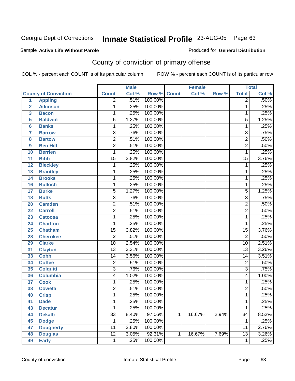#### Sample **Active Life Without Parole**

#### Produced for **General Distribution**

# County of conviction of primary offense

|                |                             |                 | <b>Male</b> |         | <b>Female</b> |        | <b>Total</b> |                 |                            |
|----------------|-----------------------------|-----------------|-------------|---------|---------------|--------|--------------|-----------------|----------------------------|
|                | <b>County of Conviction</b> | <b>Count</b>    | Col %       | Row %   | <b>Count</b>  | Col %  | Row %        | <b>Total</b>    | $\overline{\text{Col }\%}$ |
| 1              | <b>Appling</b>              | $\overline{2}$  | .51%        | 100.00% |               |        |              | $\overline{2}$  | .50%                       |
| $\overline{2}$ | <b>Atkinson</b>             | 1               | .25%        | 100.00% |               |        |              | $\mathbf 1$     | .25%                       |
| 3              | <b>Bacon</b>                | 1               | .25%        | 100.00% |               |        |              | 1               | .25%                       |
| 5              | <b>Baldwin</b>              | $\overline{5}$  | 1.27%       | 100.00% |               |        |              | $\overline{5}$  | 1.25%                      |
| 6              | <b>Banks</b>                | 1               | .25%        | 100.00% |               |        |              | 1               | .25%                       |
| $\overline{7}$ | <b>Barrow</b>               | $\overline{3}$  | .76%        | 100.00% |               |        |              | $\overline{3}$  | .75%                       |
| 8              | <b>Bartow</b>               | $\overline{2}$  | .51%        | 100.00% |               |        |              | $\overline{2}$  | .50%                       |
| 9              | <b>Ben Hill</b>             | $\overline{2}$  | .51%        | 100.00% |               |        |              | $\overline{2}$  | .50%                       |
| 10             | <b>Berrien</b>              | 1               | .25%        | 100.00% |               |        |              | 1               | .25%                       |
| 11             | <b>Bibb</b>                 | $\overline{15}$ | 3.82%       | 100.00% |               |        |              | $\overline{15}$ | 3.76%                      |
| 12             | <b>Bleckley</b>             | 1               | .25%        | 100.00% |               |        |              | $\mathbf 1$     | .25%                       |
| 13             | <b>Brantley</b>             | 1               | .25%        | 100.00% |               |        |              | 1               | .25%                       |
| 14             | <b>Brooks</b>               | 1               | .25%        | 100.00% |               |        |              | 1               | .25%                       |
| 16             | <b>Bulloch</b>              | 1               | .25%        | 100.00% |               |        |              | 1               | .25%                       |
| 17             | <b>Burke</b>                | $\overline{5}$  | 1.27%       | 100.00% |               |        |              | $\overline{5}$  | 1.25%                      |
| 18             | <b>Butts</b>                | $\overline{3}$  | .76%        | 100.00% |               |        |              | $\overline{3}$  | .75%                       |
| 20             | <b>Camden</b>               | $\overline{2}$  | .51%        | 100.00% |               |        |              | $\overline{2}$  | .50%                       |
| 22             | <b>Carroll</b>              | $\overline{2}$  | .51%        | 100.00% |               |        |              | $\overline{2}$  | .50%                       |
| 23             | <b>Catoosa</b>              | $\mathbf{1}$    | .25%        | 100.00% |               |        |              | 1               | .25%                       |
| 24             | <b>Charlton</b>             | 1               | .25%        | 100.00% |               |        |              | 1               | .25%                       |
| 25             | <b>Chatham</b>              | $\overline{15}$ | 3.82%       | 100.00% |               |        |              | $\overline{15}$ | 3.76%                      |
| 28             | <b>Cherokee</b>             | $\overline{2}$  | .51%        | 100.00% |               |        |              | $\overline{2}$  | .50%                       |
| 29             | <b>Clarke</b>               | $\overline{10}$ | 2.54%       | 100.00% |               |        |              | $\overline{10}$ | 2.51%                      |
| 31             | <b>Clayton</b>              | $\overline{13}$ | 3.31%       | 100.00% |               |        |              | $\overline{13}$ | 3.26%                      |
| 33             | <b>Cobb</b>                 | 14              | 3.56%       | 100.00% |               |        |              | 14              | 3.51%                      |
| 34             | <b>Coffee</b>               | $\overline{2}$  | .51%        | 100.00% |               |        |              | $\overline{2}$  | .50%                       |
| 35             | <b>Colquitt</b>             | $\overline{3}$  | .76%        | 100.00% |               |        |              | $\overline{3}$  | .75%                       |
| 36             | <b>Columbia</b>             | 4               | 1.02%       | 100.00% |               |        |              | $\overline{4}$  | 1.00%                      |
| 37             | <b>Cook</b>                 | 1               | .25%        | 100.00% |               |        |              | 1               | .25%                       |
| 38             | <b>Coweta</b>               | $\overline{2}$  | .51%        | 100.00% |               |        |              | $\overline{2}$  | .50%                       |
| 40             | <b>Crisp</b>                | 1               | .25%        | 100.00% |               |        |              | 1               | .25%                       |
| 41             | <b>Dade</b>                 | 1               | .25%        | 100.00% |               |        |              | 1               | .25%                       |
| 43             | <b>Decatur</b>              | $\mathbf{1}$    | .25%        | 100.00% |               |        |              | $\mathbf{1}$    | .25%                       |
| 44             | <b>Dekalb</b>               | $\overline{33}$ | 8.40%       | 97.06%  | $\mathbf{1}$  | 16.67% | 2.94%        | $\overline{34}$ | 8.52%                      |
| 45             | <b>Dodge</b>                | 1               | .25%        | 100.00% |               |        |              | 1               | .25%                       |
| 47             | <b>Dougherty</b>            | 11              | 2.80%       | 100.00% |               |        |              | 11              | 2.76%                      |
| 48             | <b>Douglas</b>              | $\overline{12}$ | 3.05%       | 92.31%  | 1             | 16.67% | 7.69%        | $\overline{13}$ | 3.26%                      |
| 49             | <b>Early</b>                | $\mathbf{1}$    | .25%        | 100.00% |               |        |              | 1               | .25%                       |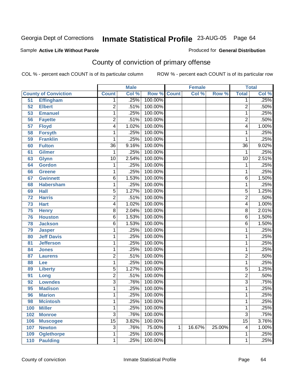#### Sample **Active Life Without Parole**

Produced for **General Distribution**

# County of conviction of primary offense

|                 |                             |                 | <b>Male</b> |                    | <b>Female</b> |        | <b>Total</b> |                 |       |
|-----------------|-----------------------------|-----------------|-------------|--------------------|---------------|--------|--------------|-----------------|-------|
|                 | <b>County of Conviction</b> | <b>Count</b>    | Col %       | <b>Row % Count</b> |               | Col %  | Row %        | <b>Total</b>    | Col % |
| 51              | <b>Effingham</b>            | 1               | .25%        | 100.00%            |               |        |              | 1               | .25%  |
| 52              | <b>Elbert</b>               | $\overline{2}$  | .51%        | 100.00%            |               |        |              | $\overline{2}$  | .50%  |
| 53              | <b>Emanuel</b>              | 1               | .25%        | 100.00%            |               |        |              | $\mathbf{1}$    | .25%  |
| 56              | <b>Fayette</b>              | 2               | .51%        | 100.00%            |               |        |              | $\overline{2}$  | .50%  |
| $\overline{57}$ | <b>Floyd</b>                | 4               | 1.02%       | 100.00%            |               |        |              | 4               | 1.00% |
| 58              | <b>Forsyth</b>              | 1               | .25%        | 100.00%            |               |        |              | 1               | .25%  |
| 59              | <b>Franklin</b>             | 1               | .25%        | 100.00%            |               |        |              | 1               | .25%  |
| 60              | <b>Fulton</b>               | $\overline{36}$ | 9.16%       | 100.00%            |               |        |              | $\overline{36}$ | 9.02% |
| 61              | <b>Gilmer</b>               | 1               | .25%        | 100.00%            |               |        |              | $\mathbf{1}$    | .25%  |
| 63              | <b>Glynn</b>                | $\overline{10}$ | 2.54%       | 100.00%            |               |        |              | $\overline{10}$ | 2.51% |
| 64              | <b>Gordon</b>               | 1               | .25%        | 100.00%            |               |        |              | 1               | .25%  |
| 66              | <b>Greene</b>               | 1               | .25%        | 100.00%            |               |        |              | 1               | .25%  |
| 67              | <b>Gwinnett</b>             | 6               | 1.53%       | 100.00%            |               |        |              | $\overline{6}$  | 1.50% |
| 68              | <b>Habersham</b>            | 1               | .25%        | 100.00%            |               |        |              | 1               | .25%  |
| 69              | <b>Hall</b>                 | $\overline{5}$  | 1.27%       | 100.00%            |               |        |              | $\overline{5}$  | 1.25% |
| 72              | <b>Harris</b>               | $\overline{2}$  | .51%        | 100.00%            |               |        |              | $\overline{2}$  | .50%  |
| $\overline{73}$ | <b>Hart</b>                 | 4               | 1.02%       | 100.00%            |               |        |              | 4               | 1.00% |
| 75              | <b>Henry</b>                | $\overline{8}$  | 2.04%       | 100.00%            |               |        |              | $\overline{8}$  | 2.01% |
| 76              | <b>Houston</b>              | $\overline{6}$  | 1.53%       | 100.00%            |               |        |              | $\overline{6}$  | 1.50% |
| 78              | <b>Jackson</b>              | 6               | 1.53%       | 100.00%            |               |        |              | $\overline{6}$  | 1.50% |
| 79              | <b>Jasper</b>               | 1               | .25%        | 100.00%            |               |        |              | 1               | .25%  |
| 80              | <b>Jeff Davis</b>           | 1               | .25%        | 100.00%            |               |        |              | 1               | .25%  |
| 81              | <b>Jefferson</b>            | 1               | .25%        | 100.00%            |               |        |              | 1               | .25%  |
| 84              | <b>Jones</b>                | 1               | .25%        | 100.00%            |               |        |              | 1               | .25%  |
| 87              | <b>Laurens</b>              | $\overline{2}$  | .51%        | 100.00%            |               |        |              | $\overline{2}$  | .50%  |
| 88              | Lee                         | 1               | .25%        | 100.00%            |               |        |              | 1               | .25%  |
| 89              | <b>Liberty</b>              | $\overline{5}$  | 1.27%       | 100.00%            |               |        |              | $\overline{5}$  | 1.25% |
| 91              | Long                        | $\overline{2}$  | .51%        | 100.00%            |               |        |              | $\overline{2}$  | .50%  |
| 92              | <b>Lowndes</b>              | $\overline{3}$  | .76%        | 100.00%            |               |        |              | $\overline{3}$  | .75%  |
| 95              | <b>Madison</b>              | 1               | .25%        | 100.00%            |               |        |              | 1               | .25%  |
| 96              | <b>Marion</b>               | 1               | .25%        | 100.00%            |               |        |              | 1               | .25%  |
| 98              | <b>Mcintosh</b>             | 1               | .25%        | 100.00%            |               |        |              | 1               | .25%  |
| 100             | <b>Miller</b>               | 1               | .25%        | 100.00%            |               |        |              | 1               | .25%  |
| 102             | <b>Monroe</b>               | $\overline{3}$  | .76%        | 100.00%            |               |        |              | $\overline{3}$  | .75%  |
| 106             | <b>Muscogee</b>             | $\overline{15}$ | 3.82%       | 100.00%            |               |        |              | $\overline{15}$ | 3.76% |
| 107             | <b>Newton</b>               | 3               | .76%        | 75.00%             | 1             | 16.67% | 25.00%       | 4               | 1.00% |
| 109             | <b>Oglethorpe</b>           | 1               | .25%        | 100.00%            |               |        |              | 1               | .25%  |
| 110             | <b>Paulding</b>             | 1               | .25%        | 100.00%            |               |        |              | 1               | .25%  |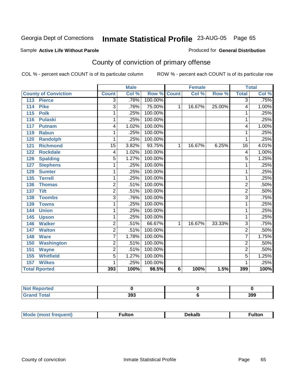#### Sample **Active Life Without Parole**

#### Produced for **General Distribution**

# County of conviction of primary offense

|                             |                 | <b>Male</b> |                    |   | <b>Female</b> |        | <b>Total</b>   |       |
|-----------------------------|-----------------|-------------|--------------------|---|---------------|--------|----------------|-------|
| <b>County of Conviction</b> | <b>Count</b>    | Col %       | <b>Row % Count</b> |   | Col %         | Row %  | <b>Total</b>   | Col % |
| <b>Pierce</b><br>113        | $\overline{3}$  | .76%        | 100.00%            |   |               |        | $\overline{3}$ | .75%  |
| <b>Pike</b><br>114          | $\overline{3}$  | .76%        | 75.00%             | 1 | 16.67%        | 25.00% | 4              | 1.00% |
| 115<br><b>Polk</b>          | 1               | .25%        | 100.00%            |   |               |        | 1              | .25%  |
| <b>Pulaski</b><br>116       | 1               | .25%        | 100.00%            |   |               |        | 1              | .25%  |
| 117<br><b>Putnam</b>        | 4               | 1.02%       | 100.00%            |   |               |        | 4              | 1.00% |
| <b>Rabun</b><br>119         | 1               | .25%        | 100.00%            |   |               |        | 1              | .25%  |
| <b>Randolph</b><br>120      | 1               | .25%        | 100.00%            |   |               |        | 1              | .25%  |
| <b>Richmond</b><br>121      | $\overline{15}$ | 3.82%       | 93.75%             | 1 | 16.67%        | 6.25%  | 16             | 4.01% |
| <b>Rockdale</b><br>122      | 4               | 1.02%       | 100.00%            |   |               |        | 4              | 1.00% |
| <b>Spalding</b><br>126      | 5               | 1.27%       | 100.00%            |   |               |        | 5              | 1.25% |
| <b>Stephens</b><br>127      | 1               | .25%        | 100.00%            |   |               |        | 1              | .25%  |
| 129<br><b>Sumter</b>        | 1               | .25%        | 100.00%            |   |               |        | 1              | .25%  |
| 135<br><b>Terrell</b>       | 1               | .25%        | 100.00%            |   |               |        | 1              | .25%  |
| 136<br><b>Thomas</b>        | $\overline{2}$  | .51%        | 100.00%            |   |               |        | $\overline{2}$ | .50%  |
| <b>Tift</b><br>137          | $\overline{2}$  | .51%        | 100.00%            |   |               |        | $\overline{2}$ | .50%  |
| <b>Toombs</b><br>138        | $\overline{3}$  | .76%        | 100.00%            |   |               |        | $\overline{3}$ | .75%  |
| 139<br><b>Towns</b>         | 1               | .25%        | 100.00%            |   |               |        | 1              | .25%  |
| <b>Union</b><br>144         | 1               | .25%        | 100.00%            |   |               |        | 1              | .25%  |
| 145<br><b>Upson</b>         | 1               | .25%        | 100.00%            |   |               |        | 1              | .25%  |
| <b>Walker</b><br>146        | $\overline{2}$  | .51%        | 66.67%             | 1 | 16.67%        | 33.33% | 3              | .75%  |
| <b>Walton</b><br>147        | $\overline{2}$  | .51%        | 100.00%            |   |               |        | $\overline{2}$ | .50%  |
| <b>Ware</b><br>148          | $\overline{7}$  | 1.78%       | 100.00%            |   |               |        | 7              | 1.75% |
| <b>Washington</b><br>150    | $\overline{2}$  | .51%        | 100.00%            |   |               |        | $\overline{2}$ | .50%  |
| 151<br><b>Wayne</b>         | $\overline{2}$  | .51%        | 100.00%            |   |               |        | $\overline{2}$ | .50%  |
| <b>Whitfield</b><br>155     | 5               | 1.27%       | 100.00%            |   |               |        | 5              | 1.25% |
| <b>Wilkes</b><br>157        | 1               | .25%        | 100.00%            |   |               |        | 1              | .25%  |
| <b>Total Rported</b>        | 393             | 100%        | 98.5%              | 6 | 100%          | 1.5%   | 399            | 100%  |

| المناسب<br><b>eported</b><br>N. |     |     |
|---------------------------------|-----|-----|
| 'ota.                           | 393 | 399 |

| <b>Mode</b><br><b>auent)</b> | ulton | Dekalb<br>____ | ·ulton |
|------------------------------|-------|----------------|--------|
|                              |       |                |        |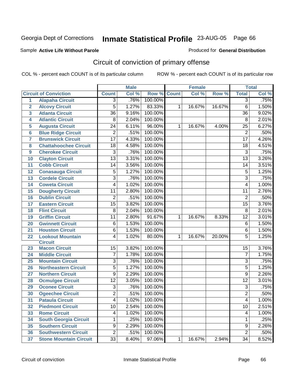#### Sample **Active Life Without Parole**

Produced for **General Distribution**

# Circuit of conviction of primary offense

|                 |                               |                 | <b>Male</b> |                    |             | <b>Female</b> |        |                 | <b>Total</b> |
|-----------------|-------------------------------|-----------------|-------------|--------------------|-------------|---------------|--------|-----------------|--------------|
|                 | <b>Circuit of Conviction</b>  | <b>Count</b>    | Col %       | <b>Row % Count</b> |             | Col %         | Row %  | <b>Total</b>    | Col %        |
| $\mathbf{1}$    | <b>Alapaha Circuit</b>        | $\overline{3}$  | .76%        | 100.00%            |             |               |        | $\overline{3}$  | .75%         |
| $\overline{2}$  | <b>Alcovy Circuit</b>         | 5               | 1.27%       | 83.33%             | 1           | 16.67%        | 16.67% | $\overline{6}$  | 1.50%        |
| 3               | <b>Atlanta Circuit</b>        | $\overline{36}$ | 9.16%       | 100.00%            |             |               |        | $\overline{36}$ | 9.02%        |
| 4               | <b>Atlantic Circuit</b>       | 8               | 2.04%       | 100.00%            |             |               |        | 8               | 2.01%        |
| 5               | <b>Augusta Circuit</b>        | $\overline{24}$ | 6.11%       | 96.00%             | 1           | 16.67%        | 4.00%  | $\overline{25}$ | 6.27%        |
| $6\phantom{1}6$ | <b>Blue Ridge Circuit</b>     | $\overline{2}$  | .51%        | 100.00%            |             |               |        | $\overline{2}$  | .50%         |
| $\overline{7}$  | <b>Brunswick Circuit</b>      | $\overline{17}$ | 4.33%       | 100.00%            |             |               |        | $\overline{17}$ | 4.26%        |
| 8               | <b>Chattahoochee Circuit</b>  | 18              | 4.58%       | 100.00%            |             |               |        | 18              | 4.51%        |
| 9               | <b>Cherokee Circuit</b>       | 3               | .76%        | 100.00%            |             |               |        | $\overline{3}$  | .75%         |
| 10              | <b>Clayton Circuit</b>        | $\overline{13}$ | 3.31%       | 100.00%            |             |               |        | $\overline{13}$ | 3.26%        |
| 11              | <b>Cobb Circuit</b>           | 14              | 3.56%       | 100.00%            |             |               |        | 14              | 3.51%        |
| 12              | <b>Conasauga Circuit</b>      | 5               | 1.27%       | 100.00%            |             |               |        | 5               | 1.25%        |
| 13              | <b>Cordele Circuit</b>        | 3               | .76%        | 100.00%            |             |               |        | $\overline{3}$  | .75%         |
| 14              | <b>Coweta Circuit</b>         | 4               | 1.02%       | 100.00%            |             |               |        | 4               | 1.00%        |
| 15              | <b>Dougherty Circuit</b>      | 11              | 2.80%       | 100.00%            |             |               |        | $\overline{11}$ | 2.76%        |
| 16              | <b>Dublin Circuit</b>         | 2               | .51%        | 100.00%            |             |               |        | $\overline{2}$  | .50%         |
| 17              | <b>Eastern Circuit</b>        | $\overline{15}$ | 3.82%       | 100.00%            |             |               |        | 15              | 3.76%        |
| 18              | <b>Flint Circuit</b>          | 8               | 2.04%       | 100.00%            |             |               |        | 8               | 2.01%        |
| 19              | <b>Griffin Circuit</b>        | 11              | 2.80%       | 91.67%             | 1           | 16.67%        | 8.33%  | $\overline{12}$ | 3.01%        |
| 20              | <b>Gwinnett Circuit</b>       | 6               | 1.53%       | 100.00%            |             |               |        | $\,6$           | 1.50%        |
| 21              | <b>Houston Circuit</b>        | 6               | 1.53%       | 100.00%            |             |               |        | $\overline{6}$  | 1.50%        |
| 22              | <b>Lookout Mountain</b>       | 4               | 1.02%       | 80.00%             | $\mathbf 1$ | 16.67%        | 20.00% | 5               | 1.25%        |
|                 | <b>Circuit</b>                |                 |             |                    |             |               |        |                 |              |
| 23              | <b>Macon Circuit</b>          | 15              | 3.82%       | 100.00%            |             |               |        | 15              | 3.76%        |
| 24              | <b>Middle Circuit</b>         | $\overline{7}$  | 1.78%       | 100.00%            |             |               |        | $\overline{7}$  | 1.75%        |
| 25              | <b>Mountain Circuit</b>       | 3               | .76%        | 100.00%            |             |               |        | 3               | .75%         |
| 26              | <b>Northeastern Circuit</b>   | 5               | 1.27%       | 100.00%            |             |               |        | 5               | 1.25%        |
| 27              | <b>Northern Circuit</b>       | 9               | 2.29%       | 100.00%            |             |               |        | $\overline{9}$  | 2.26%        |
| 28              | <b>Ocmulgee Circuit</b>       | $\overline{12}$ | 3.05%       | 100.00%            |             |               |        | $\overline{12}$ | 3.01%        |
| 29              | <b>Oconee Circuit</b>         | $\overline{3}$  | .76%        | 100.00%            |             |               |        | $\overline{3}$  | .75%         |
| 30              | <b>Ogeechee Circuit</b>       | $\overline{2}$  | .51%        | 100.00%            |             |               |        | $\overline{2}$  | .50%         |
| 31              | <b>Pataula Circuit</b>        | 4               | 1.02%       | 100.00%            |             |               |        | 4               | 1.00%        |
| 32              | <b>Piedmont Circuit</b>       | 10              | 2.54%       | 100.00%            |             |               |        | 10              | 2.51%        |
| 33              | <b>Rome Circuit</b>           | 4               | 1.02%       | 100.00%            |             |               |        | 4               | 1.00%        |
| 34              | <b>South Georgia Circuit</b>  | 1               | .25%        | 100.00%            |             |               |        | 1               | .25%         |
| 35              | <b>Southern Circuit</b>       | 9               | 2.29%       | 100.00%            |             |               |        | 9               | 2.26%        |
| 36              | <b>Southwestern Circuit</b>   | $\overline{2}$  | .51%        | 100.00%            |             |               |        | $\overline{2}$  | .50%         |
| 37              | <b>Stone Mountain Circuit</b> | $\overline{33}$ | 8.40%       | 97.06%             | 1           | 16.67%        | 2.94%  | $\overline{34}$ | 8.52%        |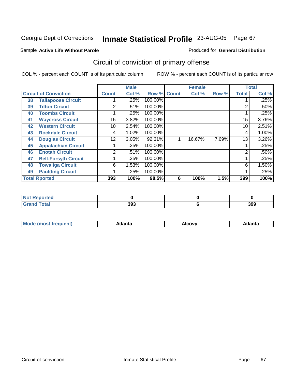#### Sample **Active Life Without Parole**

#### Produced for **General Distribution**

# Circuit of conviction of primary offense

|                              |                             |                | <b>Male</b> |                    |   | <b>Female</b> |       |              | <b>Total</b> |
|------------------------------|-----------------------------|----------------|-------------|--------------------|---|---------------|-------|--------------|--------------|
| <b>Circuit of Conviction</b> |                             | <b>Count</b>   | Col %       | <b>Row % Count</b> |   | Col %         | Row % | <b>Total</b> | Col %        |
| 38                           | <b>Tallapoosa Circuit</b>   |                | .25%        | 100.00%            |   |               |       |              | .25%         |
| 39                           | <b>Tifton Circuit</b>       | 2              | .51%        | 100.00%            |   |               |       | 2            | .50%         |
| 40                           | <b>Toombs Circuit</b>       |                | .25%        | 100.00%            |   |               |       |              | .25%         |
| 41                           | <b>Waycross Circuit</b>     | 15             | 3.82%       | 100.00%            |   |               |       | 15           | 3.76%        |
| 42                           | <b>Western Circuit</b>      | 10             | 2.54%       | 100.00%            |   |               |       | 10           | 2.51%        |
| 43                           | <b>Rockdale Circuit</b>     | 4              | 1.02%       | 100.00%            |   |               |       | 4            | 1.00%        |
| 44                           | <b>Douglas Circuit</b>      | 12             | 3.05%       | 92.31%             |   | 16.67%        | 7.69% | 13           | 3.26%        |
| 45                           | <b>Appalachian Circuit</b>  |                | .25%        | 100.00%            |   |               |       |              | .25%         |
| 46                           | <b>Enotah Circuit</b>       | $\overline{2}$ | .51%        | 100.00%            |   |               |       | 2            | .50%         |
| 47                           | <b>Bell-Forsyth Circuit</b> |                | .25%        | 100.00%            |   |               |       |              | .25%         |
| 48                           | <b>Towaliga Circuit</b>     | 6              | 1.53%       | 100.00%            |   |               |       | 6            | 1.50%        |
| 49                           | <b>Paulding Circuit</b>     |                | .25%        | 100.00%            |   |               |       | 4            | .25%         |
|                              | <b>Total Rported</b>        | 393            | 100%        | 98.5%              | 6 | 100%          | 1.5%  | 399          | 100%         |

| prtea<br><b>NOT REDUCT</b><br>. |     |     |
|---------------------------------|-----|-----|
| $C = 4 - 7$                     | 393 | 399 |

| `M∩<br>чит. | .<br>на | AICOVV<br>$\sim$ $\sim$ $\sim$ | Atlanta |
|-------------|---------|--------------------------------|---------|
|             |         |                                |         |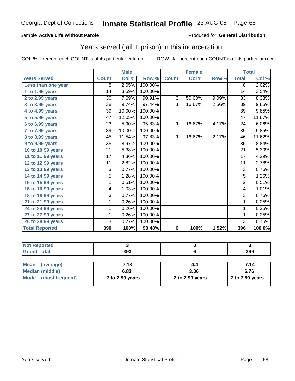#### Sample **Active Life Without Parole**

#### Produced for **General Distribution**

### Years served (jail + prison) in this incarceration

|                       | <b>Male</b>     |        | <b>Female</b> |                |        | <b>Total</b> |                 |        |
|-----------------------|-----------------|--------|---------------|----------------|--------|--------------|-----------------|--------|
| <b>Years Served</b>   | <b>Count</b>    | Col %  | Row %         | <b>Count</b>   | Col %  | Row %        | <b>Total</b>    | Col %  |
| Less than one year    | $\overline{8}$  | 2.05%  | 100.00%       |                |        |              | $\overline{8}$  | 2.02%  |
| 1 to 1.99 years       | 14              | 3.59%  | 100.00%       |                |        |              | 14              | 3.54%  |
| 2 to 2.99 years       | $\overline{30}$ | 7.69%  | 90.91%        | $\overline{3}$ | 50.00% | 9.09%        | $\overline{33}$ | 8.33%  |
| 3 to 3.99 years       | 38              | 9.74%  | 97.44%        | 1              | 16.67% | 2.56%        | 39              | 9.85%  |
| 4 to 4.99 years       | $\overline{39}$ | 10.00% | 100.00%       |                |        |              | $\overline{39}$ | 9.85%  |
| 5 to 5.99 years       | 47              | 12.05% | 100.00%       |                |        |              | 47              | 11.87% |
| 6 to 6.99 years       | 23              | 5.90%  | 95.83%        | 1              | 16.67% | 4.17%        | 24              | 6.06%  |
| 7 to 7.99 years       | 39              | 10.00% | 100.00%       |                |        |              | 39              | 9.85%  |
| 8 to 8.99 years       | 45              | 11.54% | 97.83%        | 1              | 16.67% | 2.17%        | 46              | 11.62% |
| 9 to 9.99 years       | $\overline{35}$ | 8.97%  | 100.00%       |                |        |              | $\overline{35}$ | 8.84%  |
| 10 to 10.99 years     | 21              | 5.38%  | 100.00%       |                |        |              | 21              | 5.30%  |
| 11 to 11.99 years     | 17              | 4.36%  | 100.00%       |                |        |              | 17              | 4.29%  |
| 12 to 12.99 years     | 11              | 2.82%  | 100.00%       |                |        |              | 11              | 2.78%  |
| 13 to 13.99 years     | 3               | 0.77%  | 100.00%       |                |        |              | 3               | 0.76%  |
| 14 to 14.99 years     | $\overline{5}$  | 1.28%  | 100.00%       |                |        |              | 5               | 1.26%  |
| 15 to 15.99 years     | $\overline{2}$  | 0.51%  | 100.00%       |                |        |              | $\overline{2}$  | 0.51%  |
| 16 to 16.99 years     | 4               | 1.03%  | 100.00%       |                |        |              | 4               | 1.01%  |
| 18 to 18.99 years     | $\overline{3}$  | 0.77%  | 100.00%       |                |        |              | $\overline{3}$  | 0.76%  |
| 21 to 21.99 years     | 1               | 0.26%  | 100.00%       |                |        |              | 1               | 0.25%  |
| 24 to 24.99 years     | 1               | 0.26%  | 100.00%       |                |        |              | 1               | 0.25%  |
| 27 to 27.99 years     | 1               | 0.26%  | 100.00%       |                |        |              | 1               | 0.25%  |
| 28 to 28.99 years     | 3               | 0.77%  | 100.00%       |                |        |              | $\overline{3}$  | 0.76%  |
| <b>Total Reported</b> | 390             | 100%   | 98.48%        | 6              | 100%   | 1.52%        | 396             | 100.0% |

| <b><i>Continued In</i></b><br>teol |     |     |
|------------------------------------|-----|-----|
|                                    | 393 | 399 |

| Mean<br>(average)      | 7.18            | 4.4             | 7.14                     |
|------------------------|-----------------|-----------------|--------------------------|
| <b>Median (middle)</b> | 6.83            | 3.06            | 6.76                     |
| Mode (most frequent)   | 7 to 7.99 years | 2 to 2.99 years | $\sqrt{7}$ to 7.99 years |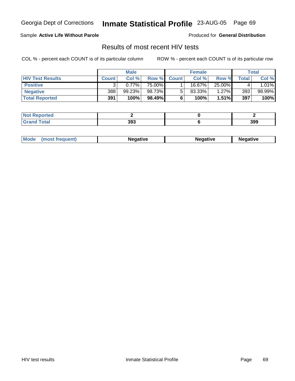Georgia Dept of Corrections **Inmate Statistical Profile** 23-AUG-05 Page 69

### Sample **Active Life Without Parole**

Produced for **General Distribution**

## Results of most recent HIV tests

COL % - percent each COUNT is of its particular column ROW % - percent each COUNT is of its particular row

|                         | <b>Male</b>  |          | <b>Female</b> |              |        | Total  |       |         |
|-------------------------|--------------|----------|---------------|--------------|--------|--------|-------|---------|
| <b>HIV Test Results</b> | <b>Count</b> | Col %    | Row %         | <b>Count</b> | Col %  | Row %  | Total | Col %   |
| <b>Positive</b>         |              | $0.77\%$ | 75.00%        |              | 16.67% | 25.00% |       | $.01\%$ |
| <b>Negative</b>         | 388          | 99.23%   | 98.73%        |              | 83.33% | 1.27%  | 393   | 98.99%  |
| <b>Total Reported</b>   | 391          | 100%     | 98.49%        |              | 100%   | 1.51%  | 397   | 100%    |

| <b>Not Reported</b> |     |     |
|---------------------|-----|-----|
| <b>Grand Total</b>  | 393 | 399 |

| Mode | Negative | egative | Negative |
|------|----------|---------|----------|
|      |          |         |          |